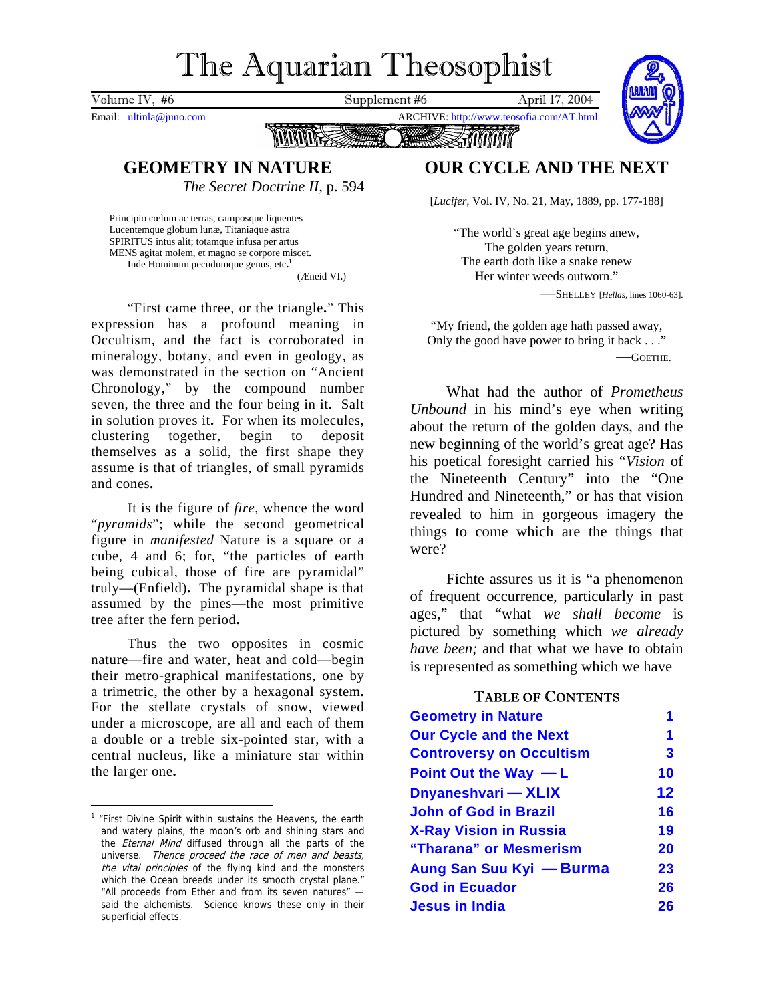## The Aquarian Theosophist

<span id="page-0-1"></span>Volume IV, #6 Supplement #6 April 17, 2004 Email: ultinla@juno.com ARCHIVE: http://www.teosofia.com/AT.html GEOMETRY IN NATURE **OUR CYCLE AND THE NEXT** *The Secret Doctrine II,* p. 594

Principio cœlum ac terras, camposque liquentes Lucentemque globum lunæ, Titaniaque astra **Example 2018** Control of the world's great age begins anew, SPIRITUS intus alit; totamque infusa per artus **Example 2019** Control of the control of the control of the control of t SPIRITUS intus alit; totamque infusa per artus The golden years return, MENS agitat molem, et magno se corpore miscet**.** Inde Hominum pecudumque genus, etc**.**

"First came three, or the triangle**.**" This expression has a profound meaning in Occultism, and the fact is corroborated in mineralogy, botany, and even in geology, as was demonstrated in the section on "Ancient Chronology," by the compound number seven, the three and the four being in it**.** Salt in solution proves it**.** For when its molecules, clustering together, begin to deposit themselves as a solid, the first shape they assume is that of triangles, of small pyramids and cones**.**

It is the figure of *fire*, whence the word "*pyramids*"; while the second geometrical figure in *manifested* Nature is a square or a cube, 4 and 6; for, "the particles of earth being cubical, those of fire are pyramidal" truly—(Enfield)**.** The pyramidal shape is that assumed by the pines—the most primitive tree after the fern period**.**

Thus the two opposites in cosmic nature—fire and water, heat and cold—begin their metro-graphical manifestations, one by a trimetric, the other by a hexagonal system**.** For the stellate crystals of snow, viewed under a microscope, are all and each of them a double or a treble six-pointed star, with a central nucleus, like a miniature star within the larger one**.**

[*Lucifer,* Vol. IV, No. 21, May, 1889, pp. 177-188]

**[1](#page-0-0)** The earth doth like a snake renew (*Eneid VI.*) Her winter weeds outworn."

—SHELLEY [*Hellas,* lines 1060-63].

"My friend, the golden age hath passed away, Only the good have power to bring it back . . ." —GOETHE.

What had the author of *Prometheus Unbound* in his mind's eye when writing about the return of the golden days, and the new beginning of the world's great age? Has his poetical foresight carried his "*Vision* of the Nineteenth Century" into the "One Hundred and Nineteenth," or has that vision revealed to him in gorgeous imagery the things to come which are the things that were?

Fichte assures us it is "a phenomenon of frequent occurrence, particularly in past ages," that "what *we shall become* is pictured by something which *we already have been;* and that what we have to obtain is represented as something which we have

#### TABLE OF CONTENTS

| <b>Geometry in Nature</b><br><b>Our Cycle and the Next</b> |                   |
|------------------------------------------------------------|-------------------|
| <b>Controversy on Occultism</b>                            | 3                 |
| Point Out the Way $-L$                                     | 10                |
| Dnyaneshvari — XLIX                                        | $12 \ \mathsf{ }$ |
| <b>John of God in Brazil</b>                               | 16                |
| <b>X-Ray Vision in Russia</b>                              | 19                |
| "Tharana" or Mesmerism                                     | <b>20</b>         |
| Aung San Suu Kyi — Burma                                   | 23                |
| <b>God in Ecuador</b>                                      | 26                |
| <b>Jesus in India</b>                                      | 26                |
|                                                            |                   |

<span id="page-0-0"></span><sup>&</sup>lt;sup>1</sup> "First Divine Spirit within sustains the Heavens, the earth and watery plains, the moon's orb and shining stars and the *Eternal Mind* diffused through all the parts of the universe. Thence proceed the race of men and beasts, the vital principles of the flying kind and the monsters which the Ocean breeds under its smooth crystal plane." "All proceeds from Ether and from its seven natures" said the alchemists. Science knows these only in their superficial effects.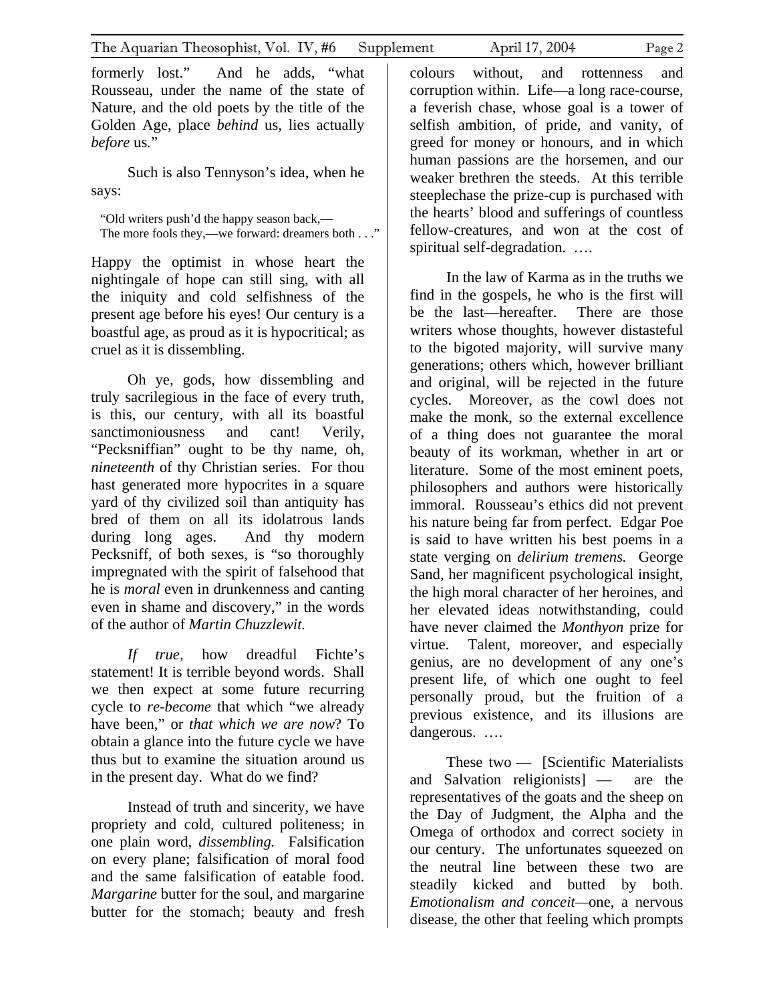formerly lost." And he adds, "what Rousseau, under the name of the state of Nature, and the old poets by the title of the Golden Age, place *behind* us*,* lies actually *before* us*.*"

Such is also Tennyson's idea, when he says:

"Old writers push'd the happy season back,— The more fools they,—we forward: dreamers both . . ."

Happy the optimist in whose heart the nightingale of hope can still sing, with all the iniquity and cold selfishness of the present age before his eyes! Our century is a boastful age, as proud as it is hypocritical; as cruel as it is dissembling.

Oh ye, gods, how dissembling and truly sacrilegious in the face of every truth, is this, our century, with all its boastful sanctimoniousness and cant! Verily, "Pecksniffian" ought to be thy name, oh, *nineteenth* of thy Christian series. For thou hast generated more hypocrites in a square yard of thy civilized soil than antiquity has bred of them on all its idolatrous lands during long ages. And thy modern Pecksniff, of both sexes, is "so thoroughly impregnated with the spirit of falsehood that he is *moral* even in drunkenness and canting even in shame and discovery," in the words of the author of *Martin Chuzzlewit.* 

*If true,* how dreadful Fichte's statement! It is terrible beyond words. Shall we then expect at some future recurring cycle to *re-become* that which "we already have been," or *that which we are now*? To obtain a glance into the future cycle we have thus but to examine the situation around us in the present day. What do we find?

Instead of truth and sincerity, we have propriety and cold, cultured politeness; in one plain word, *dissembling.* Falsification on every plane; falsification of moral food and the same falsification of eatable food. *Margarine* butter for the soul, and margarine butter for the stomach; beauty and fresh

colours without, and rottenness and corruption within. Life—a long race-course, a feverish chase, whose goal is a tower of selfish ambition, of pride, and vanity, of greed for money or honours, and in which human passions are the horsemen, and our weaker brethren the steeds. At this terrible steeplechase the prize-cup is purchased with the hearts' blood and sufferings of countless fellow-creatures, and won at the cost of spiritual self-degradation. ….

In the law of Karma as in the truths we find in the gospels, he who is the first will be the last—hereafter. There are those writers whose thoughts, however distasteful to the bigoted majority, will survive many generations; others which, however brilliant and original, will be rejected in the future cycles. Moreover, as the cowl does not make the monk, so the external excellence of a thing does not guarantee the moral beauty of its workman, whether in art or literature. Some of the most eminent poets, philosophers and authors were historically immoral. Rousseau's ethics did not prevent his nature being far from perfect. Edgar Poe is said to have written his best poems in a state verging on *delirium tremens.* George Sand, her magnificent psychological insight, the high moral character of her heroines, and her elevated ideas notwithstanding, could have never claimed the *Monthyon* prize for virtue. Talent, moreover, and especially genius, are no development of any one's present life, of which one ought to feel personally proud, but the fruition of a previous existence, and its illusions are dangerous. ….

These two — [Scientific Materialists and Salvation religionists] — are the representatives of the goats and the sheep on the Day of Judgment, the Alpha and the Omega of orthodox and correct society in our century. The unfortunates squeezed on the neutral line between these two are steadily kicked and butted by both. *Emotionalism and conceit—*one, a nervous disease, the other that feeling which prompts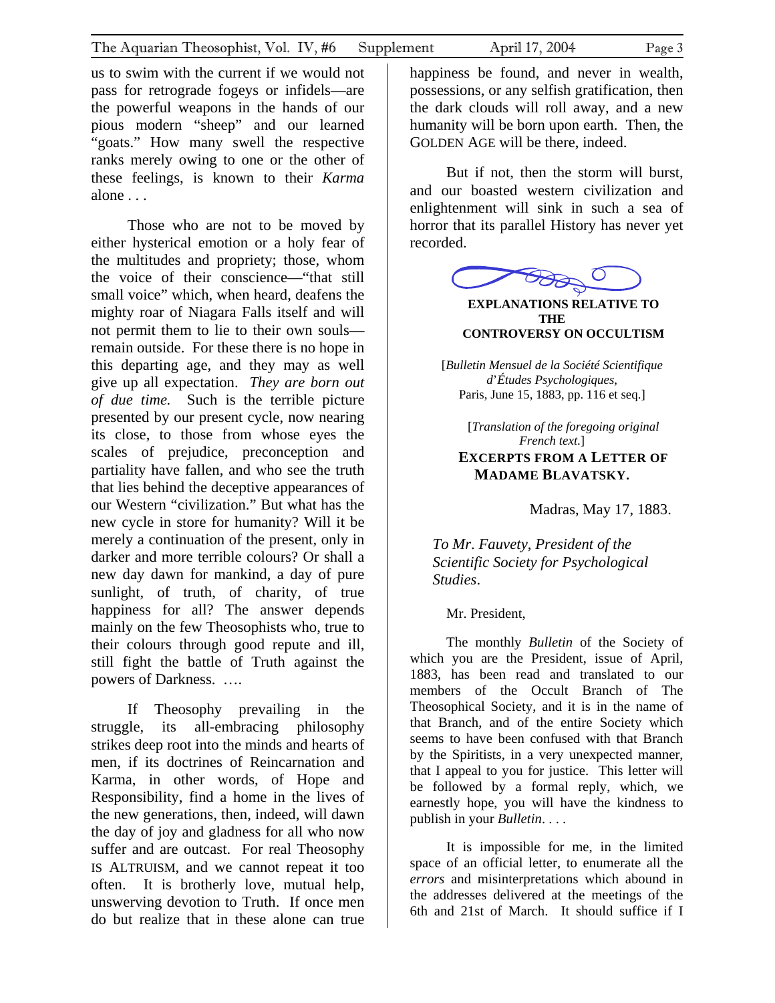<span id="page-2-0"></span>us to swim with the current if we would not pass for retrograde fogeys or infidels—are the powerful weapons in the hands of our pious modern "sheep" and our learned "goats." How many swell the respective ranks merely owing to one or the other of these feelings, is known to their *Karma* alone . . .

Those who are not to be moved by either hysterical emotion or a holy fear of the multitudes and propriety; those, whom the voice of their conscience—"that still small voice" which, when heard, deafens the mighty roar of Niagara Falls itself and will not permit them to lie to their own souls remain outside. For these there is no hope in this departing age, and they may as well give up all expectation. *They are born out of due time.* Such is the terrible picture presented by our present cycle, now nearing its close, to those from whose eyes the scales of prejudice, preconception and partiality have fallen, and who see the truth that lies behind the deceptive appearances of our Western "civilization." But what has the new cycle in store for humanity? Will it be merely a continuation of the present, only in darker and more terrible colours? Or shall a new day dawn for mankind, a day of pure sunlight, of truth, of charity, of true happiness for all? The answer depends mainly on the few Theosophists who, true to their colours through good repute and ill, still fight the battle of Truth against the powers of Darkness. ….

If Theosophy prevailing in the struggle, its all-embracing philosophy strikes deep root into the minds and hearts of men, if its doctrines of Reincarnation and Karma, in other words, of Hope and Responsibility, find a home in the lives of the new generations, then, indeed, will dawn the day of joy and gladness for all who now suffer and are outcast. For real Theosophy IS ALTRUISM, and we cannot repeat it too often. It is brotherly love, mutual help, unswerving devotion to Truth. If once men do but realize that in these alone can true

But if not, then the storm will burst, and our boasted western civilization and enlightenment will sink in such a sea of horror that its parallel History has never yet recorded.

**EXPLANATIONS RELATIVE TO THE CONTROVERSY ON OCCULTISM**

[*Bulletin Mensuel de la Société Scientifique d*'*Études Psychologiques*, Paris, June 15, 1883, pp. 116 et seq.]

[*Translation of the foregoing original French text*.] **EXCERPTS FROM A LETTER OF** 

## **MADAME BLAVATSKY.**

Madras, May 17, 1883.

*To Mr*. *Fauvety*, *President of the Scientific Society for Psychological Studies*.

Mr. President,

The monthly *Bulletin* of the Society of which you are the President, issue of April, 1883, has been read and translated to our members of the Occult Branch of The Theosophical Society, and it is in the name of that Branch, and of the entire Society which seems to have been confused with that Branch by the Spiritists, in a very unexpected manner, that I appeal to you for justice. This letter will be followed by a formal reply, which, we earnestly hope, you will have the kindness to publish in your *Bulletin*. . . .

It is impossible for me, in the limited space of an official letter, to enumerate all the *errors* and misinterpretations which abound in the addresses delivered at the meetings of the 6th and 21st of March. It should suffice if I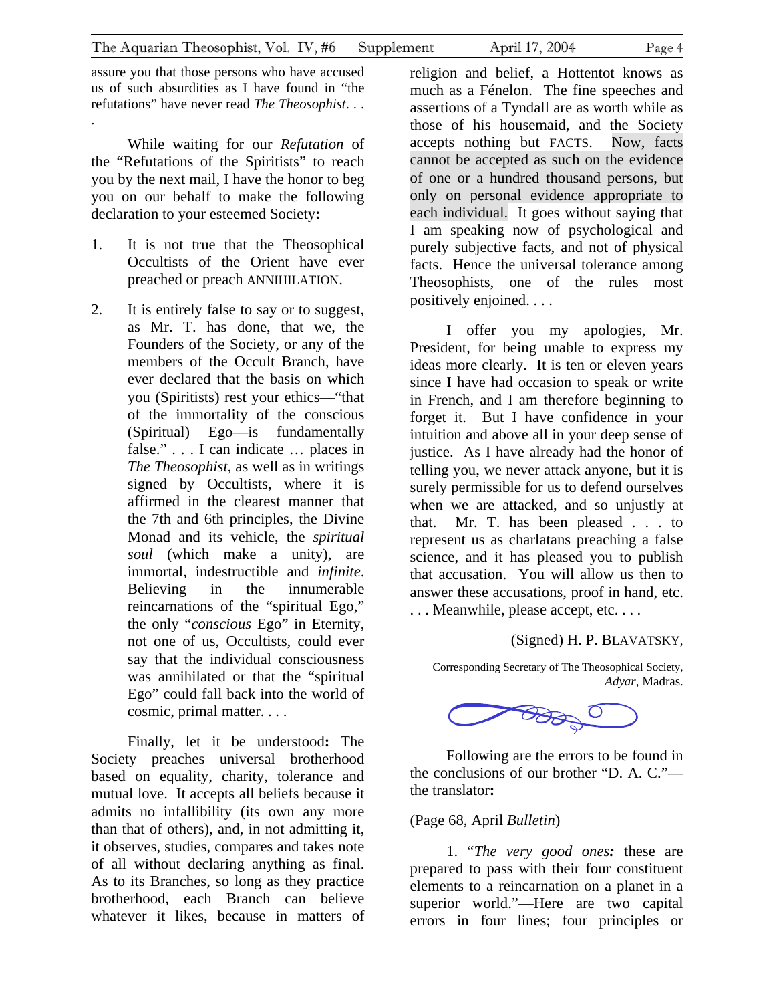assure you that those persons who have accused us of such absurdities as I have found in "the refutations" have never read *The Theosophist*. . . .

While waiting for our *Refutation* of the "Refutations of the Spiritists" to reach you by the next mail, I have the honor to beg you on our behalf to make the following declaration to your esteemed Society**:**

- 1. It is not true that the Theosophical Occultists of the Orient have ever preached or preach ANNIHILATION.
- 2. It is entirely false to say or to suggest, as Mr. T. has done, that we, the Founders of the Society, or any of the members of the Occult Branch, have ever declared that the basis on which you (Spiritists) rest your ethics—"that of the immortality of the conscious (Spiritual) Ego—is fundamentally false." . . . I can indicate … places in *The Theosophist*, as well as in writings signed by Occultists, where it is affirmed in the clearest manner that the 7th and 6th principles, the Divine Monad and its vehicle, the *spiritual soul* (which make a unity), are immortal, indestructible and *infinite*. Believing in the innumerable reincarnations of the "spiritual Ego," the only "*conscious* Ego" in Eternity, not one of us, Occultists, could ever say that the individual consciousness was annihilated or that the "spiritual Ego" could fall back into the world of cosmic, primal matter. . . .

Finally, let it be understood**:** The Society preaches universal brotherhood based on equality, charity, tolerance and mutual love. It accepts all beliefs because it admits no infallibility (its own any more than that of others), and, in not admitting it, it observes, studies, compares and takes note of all without declaring anything as final. As to its Branches, so long as they practice brotherhood, each Branch can believe whatever it likes, because in matters of

religion and belief, a Hottentot knows as much as a Fénelon. The fine speeches and assertions of a Tyndall are as worth while as those of his housemaid, and the Society accepts nothing but FACTS. Now, facts cannot be accepted as such on the evidence of one or a hundred thousand persons, but only on personal evidence appropriate to each individual. It goes without saying that I am speaking now of psychological and purely subjective facts, and not of physical facts. Hence the universal tolerance among Theosophists, one of the rules most positively enjoined. . . .

I offer you my apologies, Mr. President, for being unable to express my ideas more clearly. It is ten or eleven years since I have had occasion to speak or write in French, and I am therefore beginning to forget it. But I have confidence in your intuition and above all in your deep sense of justice. As I have already had the honor of telling you, we never attack anyone, but it is surely permissible for us to defend ourselves when we are attacked, and so unjustly at that. Mr. T. has been pleased . . . to represent us as charlatans preaching a false science, and it has pleased you to publish that accusation. You will allow us then to answer these accusations, proof in hand, etc. ... Meanwhile, please accept, etc....

#### (Signed) H. P. BLAVATSKY,

Corresponding Secretary of The Theosophical Society, *Adyar*, Madras.

**BAB**O

Following are the errors to be found in the conclusions of our brother "D. A. C." the translator**:**

#### (Page 68, April *Bulletin*)

1. "*The very good ones:* these are prepared to pass with their four constituent elements to a reincarnation on a planet in a superior world."—Here are two capital errors in four lines; four principles or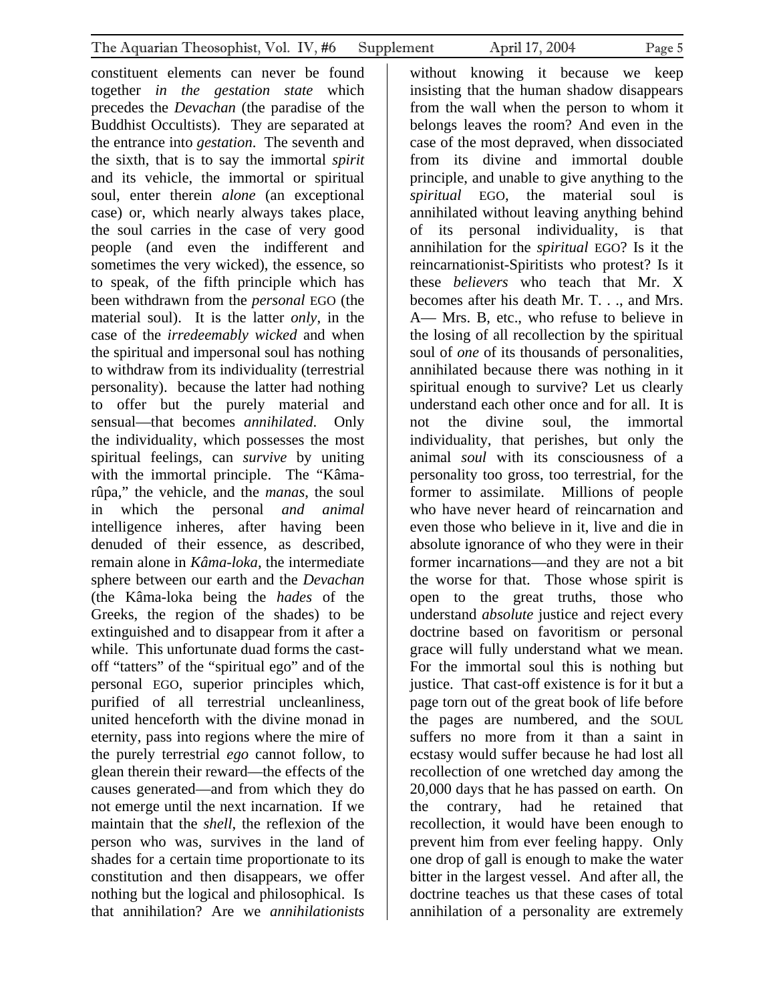constituent elements can never be found together *in the gestation state* which precedes the *Devachan* (the paradise of the Buddhist Occultists). They are separated at the entrance into *gestation*. The seventh and the sixth, that is to say the immortal *spirit*  and its vehicle, the immortal or spiritual soul, enter therein *alone* (an exceptional case) or, which nearly always takes place, the soul carries in the case of very good people (and even the indifferent and sometimes the very wicked), the essence, so to speak, of the fifth principle which has been withdrawn from the *personal* EGO (the material soul). It is the latter *only*, in the case of the *irredeemably wicked* and when the spiritual and impersonal soul has nothing to withdraw from its individuality (terrestrial personality). because the latter had nothing to offer but the purely material and sensual—that becomes *annihilated*. Only the individuality, which possesses the most spiritual feelings, can *survive* by uniting with the immortal principle. The "Kâmarûpa," the vehicle, and the *manas*, the soul in which the personal *and animal*  intelligence inheres, after having been denuded of their essence, as described, remain alone in *Kâma-loka*, the intermediate sphere between our earth and the *Devachan*  (the Kâma-loka being the *hades* of the Greeks, the region of the shades) to be extinguished and to disappear from it after a while. This unfortunate duad forms the castoff "tatters" of the "spiritual ego" and of the personal EGO, superior principles which, purified of all terrestrial uncleanliness, united henceforth with the divine monad in eternity, pass into regions where the mire of the purely terrestrial *ego* cannot follow, to glean therein their reward—the effects of the causes generated—and from which they do not emerge until the next incarnation. If we maintain that the *shell*, the reflexion of the person who was, survives in the land of shades for a certain time proportionate to its constitution and then disappears, we offer nothing but the logical and philosophical. Is that annihilation? Are we *annihilationists* 

without knowing it because we keep insisting that the human shadow disappears from the wall when the person to whom it belongs leaves the room? And even in the case of the most depraved, when dissociated from its divine and immortal double principle, and unable to give anything to the *spiritual* EGO, the material soul is annihilated without leaving anything behind of its personal individuality, is that annihilation for the *spiritual* EGO? Is it the reincarnationist-Spiritists who protest? Is it these *believers* who teach that Mr. X becomes after his death Mr. T. . ., and Mrs. A— Mrs. B, etc., who refuse to believe in the losing of all recollection by the spiritual soul of *one* of its thousands of personalities, annihilated because there was nothing in it spiritual enough to survive? Let us clearly understand each other once and for all. It is not the divine soul, the immortal individuality, that perishes, but only the animal *soul* with its consciousness of a personality too gross, too terrestrial, for the former to assimilate. Millions of people who have never heard of reincarnation and even those who believe in it, live and die in absolute ignorance of who they were in their former incarnations—and they are not a bit the worse for that. Those whose spirit is open to the great truths, those who understand *absolute* justice and reject every doctrine based on favoritism or personal grace will fully understand what we mean. For the immortal soul this is nothing but justice. That cast-off existence is for it but a page torn out of the great book of life before the pages are numbered, and the SOUL suffers no more from it than a saint in ecstasy would suffer because he had lost all recollection of one wretched day among the 20,000 days that he has passed on earth. On the contrary, had he retained that recollection, it would have been enough to prevent him from ever feeling happy. Only one drop of gall is enough to make the water bitter in the largest vessel. And after all, the doctrine teaches us that these cases of total annihilation of a personality are extremely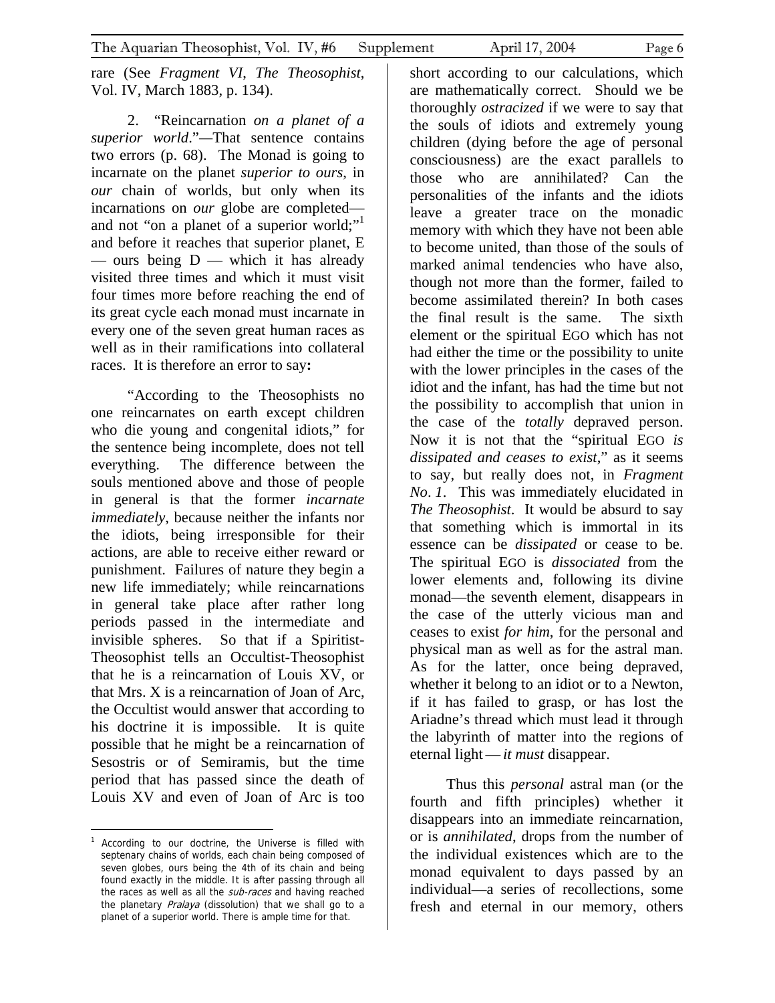rare (See *Fragment VI*, *The Theosophist*, Vol. IV, March 1883, p. 134).

2. "Reincarnation *on a planet of a superior world*."*—*That sentence contains two errors (p. 68). The Monad is going to incarnate on the planet *superior to ours*, in *our* chain of worlds, but only when its incarnations on *our* globe are completed and not "on a planet of a superior world;" and before it reaches that superior planet, E — ours being  $D$  — which it has already visited three times and which it must visit four times more before reaching the end of its great cycle each monad must incarnate in every one of the seven great human races as well as in their ramifications into collateral races. It is therefore an error to say**:**

"According to the Theosophists no one reincarnates on earth except children who die young and congenital idiots," for the sentence being incomplete, does not tell everything. The difference between the souls mentioned above and those of people in general is that the former *incarnate immediately*, because neither the infants nor the idiots, being irresponsible for their actions, are able to receive either reward or punishment. Failures of nature they begin a new life immediately; while reincarnations in general take place after rather long periods passed in the intermediate and invisible spheres. So that if a Spiritist-Theosophist tells an Occultist-Theosophist that he is a reincarnation of Louis XV, or that Mrs. X is a reincarnation of Joan of Arc, the Occultist would answer that according to his doctrine it is impossible. It is quite possible that he might be a reincarnation of Sesostris or of Semiramis, but the time period that has passed since the death of Louis XV and even of Joan of Arc is too

 $\overline{a}$ 

short according to our calculations, which are mathematically correct. Should we be thoroughly *ostracized* if we were to say that the souls of idiots and extremely young children (dying before the age of personal consciousness) are the exact parallels to those who are annihilated? Can the personalities of the infants and the idiots leave a greater trace on the monadic memory with which they have not been able to become united, than those of the souls of marked animal tendencies who have also, though not more than the former, failed to become assimilated therein? In both cases the final result is the same. The sixth element or the spiritual EGO which has not had either the time or the possibility to unite with the lower principles in the cases of the idiot and the infant, has had the time but not the possibility to accomplish that union in the case of the *totally* depraved person. Now it is not that the "spiritual EGO *is dissipated and ceases to exist*," as it seems to say, but really does not, in *Fragment No*. *1*. This was immediately elucidated in *The Theosophist*. It would be absurd to say that something which is immortal in its essence can be *dissipated* or cease to be. The spiritual EGO is *dissociated* from the lower elements and, following its divine monad—the seventh element, disappears in the case of the utterly vicious man and ceases to exist *for him*, for the personal and physical man as well as for the astral man. As for the latter, once being depraved, whether it belong to an idiot or to a Newton, if it has failed to grasp, or has lost the Ariadne's thread which must lead it through the labyrinth of matter into the regions of eternal light—*it must* disappear.

Thus this *personal* astral man (or the fourth and fifth principles) whether it disappears into an immediate reincarnation, or is *annihilated*, drops from the number of the individual existences which are to the monad equivalent to days passed by an individual—a series of recollections, some fresh and eternal in our memory, others

<span id="page-5-0"></span><sup>1</sup> According to our doctrine, the Universe is filled with septenary chains of worlds, each chain being composed of seven globes, ours being the 4th of its chain and being found exactly in the middle. It is after passing through all the races as well as all the sub-races and having reached the planetary Pralaya (dissolution) that we shall go to a planet of a superior world. There is ample time for that.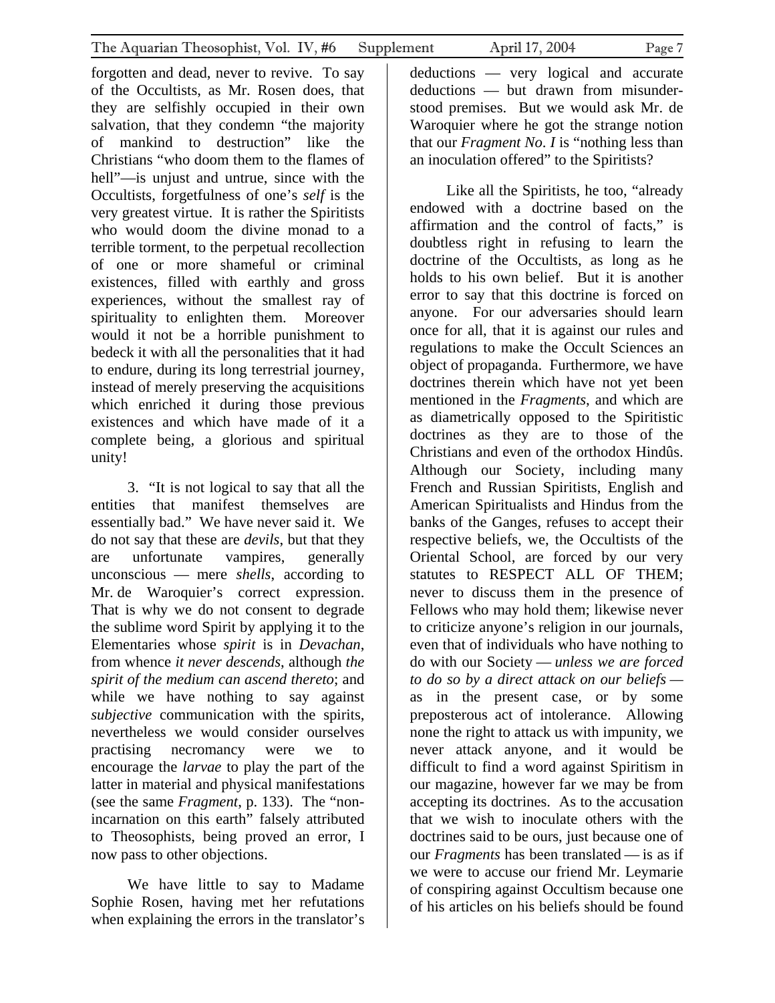forgotten and dead, never to revive. To say of the Occultists, as Mr. Rosen does, that they are selfishly occupied in their own salvation, that they condemn "the majority of mankind to destruction" like the Christians "who doom them to the flames of hell"—is unjust and untrue, since with the Occultists, forgetfulness of one's *self* is the very greatest virtue. It is rather the Spiritists who would doom the divine monad to a terrible torment, to the perpetual recollection of one or more shameful or criminal existences, filled with earthly and gross experiences, without the smallest ray of spirituality to enlighten them. Moreover would it not be a horrible punishment to bedeck it with all the personalities that it had to endure, during its long terrestrial journey, instead of merely preserving the acquisitions which enriched it during those previous existences and which have made of it a complete being, a glorious and spiritual unity!

3. "It is not logical to say that all the entities that manifest themselves are essentially bad." We have never said it. We do not say that these are *devils*, but that they are unfortunate vampires, generally unconscious — mere *shells*, according to Mr. de Waroquier's correct expression. That is why we do not consent to degrade the sublime word Spirit by applying it to the Elementaries whose *spirit* is in *Devachan*, from whence *it never descends*, although *the spirit of the medium can ascend thereto*; and while we have nothing to say against *subjective* communication with the spirits, nevertheless we would consider ourselves practising necromancy were we to encourage the *larvae* to play the part of the latter in material and physical manifestations (see the same *Fragment*, p. 133). The "nonincarnation on this earth" falsely attributed to Theosophists, being proved an error, I now pass to other objections.

We have little to say to Madame Sophie Rosen, having met her refutations when explaining the errors in the translator's

deductions — very logical and accurate deductions — but drawn from misunderstood premises. But we would ask Mr. de Waroquier where he got the strange notion that our *Fragment No*. *I* is "nothing less than an inoculation offered" to the Spiritists?

Like all the Spiritists, he too, "already endowed with a doctrine based on the affirmation and the control of facts," is doubtless right in refusing to learn the doctrine of the Occultists, as long as he holds to his own belief. But it is another error to say that this doctrine is forced on anyone. For our adversaries should learn once for all, that it is against our rules and regulations to make the Occult Sciences an object of propaganda. Furthermore, we have doctrines therein which have not yet been mentioned in the *Fragments*, and which are as diametrically opposed to the Spiritistic doctrines as they are to those of the Christians and even of the orthodox Hindûs. Although our Society, including many French and Russian Spiritists, English and American Spiritualists and Hindus from the banks of the Ganges, refuses to accept their respective beliefs, we, the Occultists of the Oriental School, are forced by our very statutes to RESPECT ALL OF THEM; never to discuss them in the presence of Fellows who may hold them; likewise never to criticize anyone's religion in our journals, even that of individuals who have nothing to do with our Society — *unless we are forced to do so by a direct attack on our beliefs*  as in the present case, or by some preposterous act of intolerance. Allowing none the right to attack us with impunity, we never attack anyone, and it would be difficult to find a word against Spiritism in our magazine, however far we may be from accepting its doctrines. As to the accusation that we wish to inoculate others with the doctrines said to be ours, just because one of our *Fragments* has been translated — is as if we were to accuse our friend Mr. Leymarie of conspiring against Occultism because one of his articles on his beliefs should be found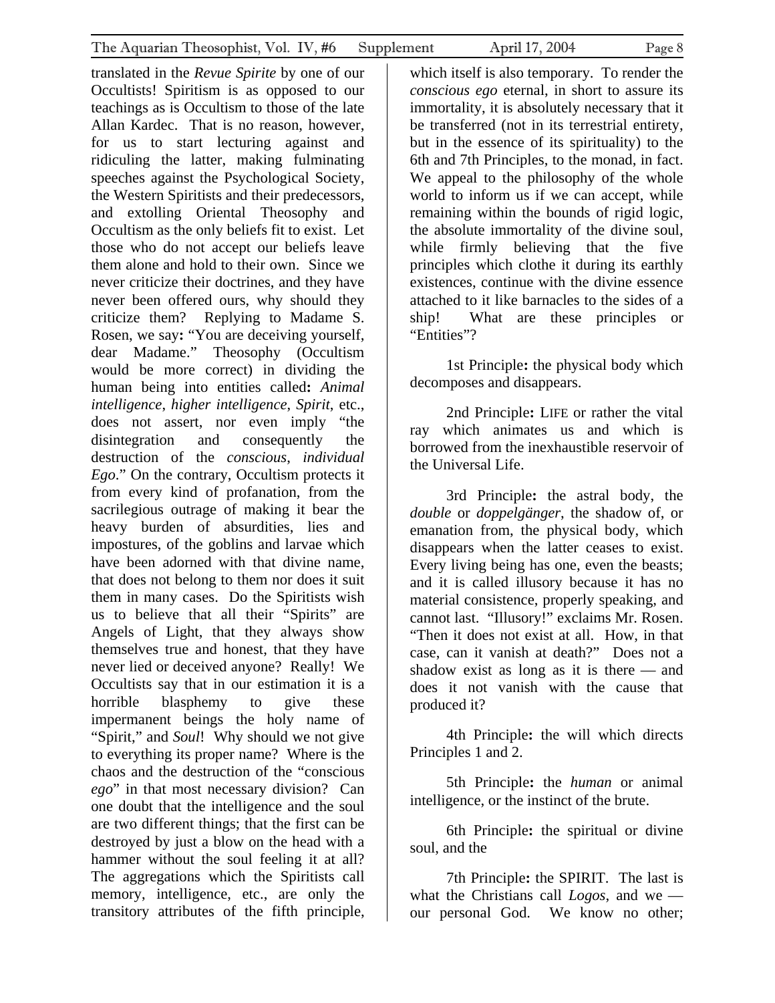translated in the *Revue Spirite* by one of our Occultists! Spiritism is as opposed to our teachings as is Occultism to those of the late Allan Kardec. That is no reason, however, for us to start lecturing against and ridiculing the latter, making fulminating speeches against the Psychological Society, the Western Spiritists and their predecessors, and extolling Oriental Theosophy and Occultism as the only beliefs fit to exist. Let those who do not accept our beliefs leave them alone and hold to their own. Since we never criticize their doctrines, and they have never been offered ours, why should they criticize them? Replying to Madame S. Rosen, we say**:** "You are deceiving yourself, dear Madame." Theosophy (Occultism would be more correct) in dividing the human being into entities called**:** *Animal intelligence*, *higher intelligence*, *Spirit*, etc., does not assert, nor even imply "the disintegration and consequently the destruction of the *conscious*, *individual Ego*." On the contrary, Occultism protects it from every kind of profanation, from the sacrilegious outrage of making it bear the heavy burden of absurdities, lies and impostures, of the goblins and larvae which have been adorned with that divine name, that does not belong to them nor does it suit them in many cases. Do the Spiritists wish us to believe that all their "Spirits" are Angels of Light, that they always show themselves true and honest, that they have never lied or deceived anyone? Really! We Occultists say that in our estimation it is a horrible blasphemy to give these impermanent beings the holy name of "Spirit," and *Soul*!Why should we not give to everything its proper name? Where is the chaos and the destruction of the "conscious *ego*" in that most necessary division? Can one doubt that the intelligence and the soul are two different things; that the first can be destroyed by just a blow on the head with a hammer without the soul feeling it at all? The aggregations which the Spiritists call memory, intelligence, etc., are only the transitory attributes of the fifth principle,

which itself is also temporary. To render the *conscious ego* eternal, in short to assure its immortality, it is absolutely necessary that it be transferred (not in its terrestrial entirety, but in the essence of its spirituality) to the 6th and 7th Principles, to the monad, in fact. We appeal to the philosophy of the whole world to inform us if we can accept, while remaining within the bounds of rigid logic, the absolute immortality of the divine soul, while firmly believing that the five principles which clothe it during its earthly existences, continue with the divine essence attached to it like barnacles to the sides of a ship! What are these principles or "Entities"?

1st Principle**:** the physical body which decomposes and disappears.

2nd Principle**:** LIFE or rather the vital ray which animates us and which is borrowed from the inexhaustible reservoir of the Universal Life.

3rd Principle**:** the astral body, the *double* or *doppelgänger*, the shadow of, or emanation from, the physical body, which disappears when the latter ceases to exist. Every living being has one, even the beasts; and it is called illusory because it has no material consistence, properly speaking, and cannot last. "Illusory!" exclaims Mr. Rosen. "Then it does not exist at all. How, in that case, can it vanish at death?" Does not a shadow exist as long as it is there — and does it not vanish with the cause that produced it?

4th Principle**:** the will which directs Principles 1 and 2.

5th Principle**:** the *human* or animal intelligence, or the instinct of the brute.

6th Principle**:** the spiritual or divine soul, and the

7th Principle**:** the SPIRIT. The last is what the Christians call *Logos*, and we our personal God. We know no other;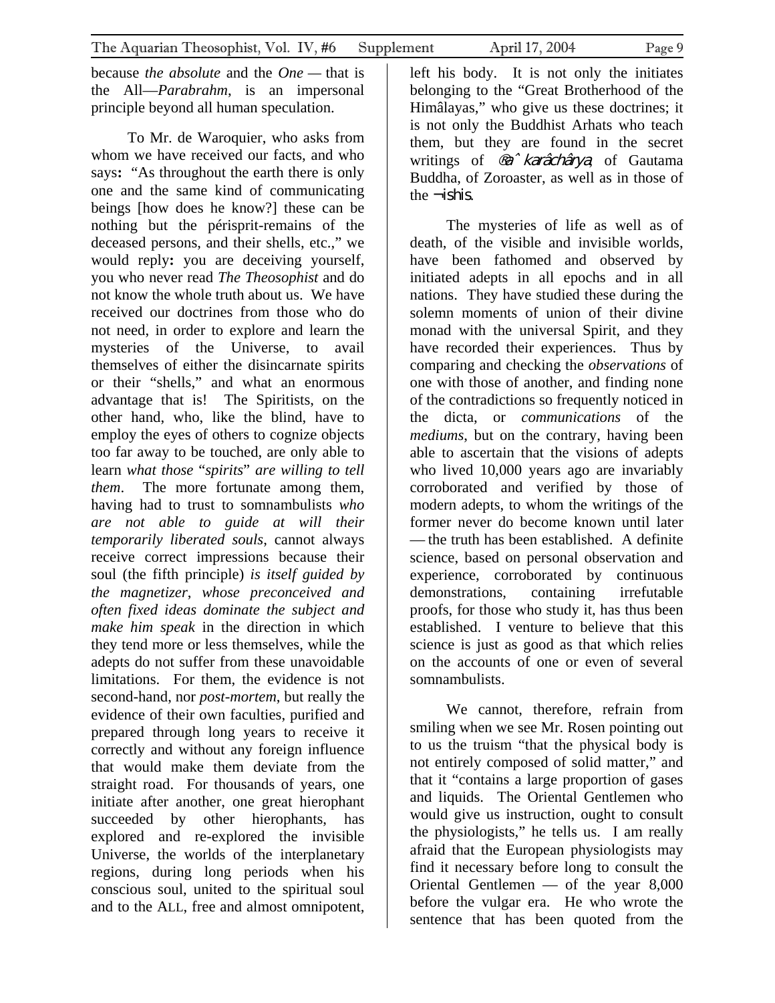because *the absolute* and the *One —* that is the All—*Parabrahm*, is an impersonal principle beyond all human speculation.

To Mr. de Waroquier, who asks from whom we have received our facts, and who says**:** "As throughout the earth there is only one and the same kind of communicating beings [how does he know?] these can be nothing but the périsprit-remains of the deceased persons, and their shells, etc.," we would reply**:** you are deceiving yourself, you who never read *The Theosophist* and do not know the whole truth about us. We have received our doctrines from those who do not need, in order to explore and learn the mysteries of the Universe, to avail themselves of either the disincarnate spirits or their "shells," and what an enormous advantage that is! The Spiritists, on the other hand, who, like the blind, have to employ the eyes of others to cognize objects too far away to be touched, are only able to learn *what those* "*spirits*" *are willing to tell them*. The more fortunate among them, having had to trust to somnambulists *who are not able to guide at will their temporarily liberated souls*, cannot always receive correct impressions because their soul (the fifth principle) *is itself guided by the magnetizer*, *whose preconceived and often fixed ideas dominate the subject and make him speak* in the direction in which they tend more or less themselves, while the adepts do not suffer from these unavoidable limitations. For them, the evidence is not second-hand, nor *post-mortem*, but really the evidence of their own faculties, purified and prepared through long years to receive it correctly and without any foreign influence that would make them deviate from the straight road. For thousands of years, one initiate after another, one great hierophant succeeded by other hierophants, has explored and re-explored the invisible Universe, the worlds of the interplanetary regions, during long periods when his conscious soul, united to the spiritual soul and to the ALL, free and almost omnipotent,

left his body. It is not only the initiates belonging to the "Great Brotherhood of the Himâlayas," who give us these doctrines; it is not only the Buddhist Arhats who teach them, but they are found in the secret writings of ®a^karâchârya, of Gautama Buddha, of Zoroaster, as well as in those of the  $\neg$  ishis.

The mysteries of life as well as of death, of the visible and invisible worlds, have been fathomed and observed by initiated adepts in all epochs and in all nations. They have studied these during the solemn moments of union of their divine monad with the universal Spirit, and they have recorded their experiences. Thus by comparing and checking the *observations* of one with those of another, and finding none of the contradictions so frequently noticed in the dicta, or *communications* of the *mediums*, but on the contrary, having been able to ascertain that the visions of adepts who lived 10,000 years ago are invariably corroborated and verified by those of modern adepts, to whom the writings of the former never do become known until later — the truth has been established. A definite science, based on personal observation and experience, corroborated by continuous demonstrations, containing irrefutable proofs, for those who study it, has thus been established. I venture to believe that this science is just as good as that which relies on the accounts of one or even of several somnambulists.

We cannot, therefore, refrain from smiling when we see Mr. Rosen pointing out to us the truism "that the physical body is not entirely composed of solid matter," and that it "contains a large proportion of gases and liquids. The Oriental Gentlemen who would give us instruction, ought to consult the physiologists," he tells us. I am really afraid that the European physiologists may find it necessary before long to consult the Oriental Gentlemen — of the year 8,000 before the vulgar era. He who wrote the sentence that has been quoted from the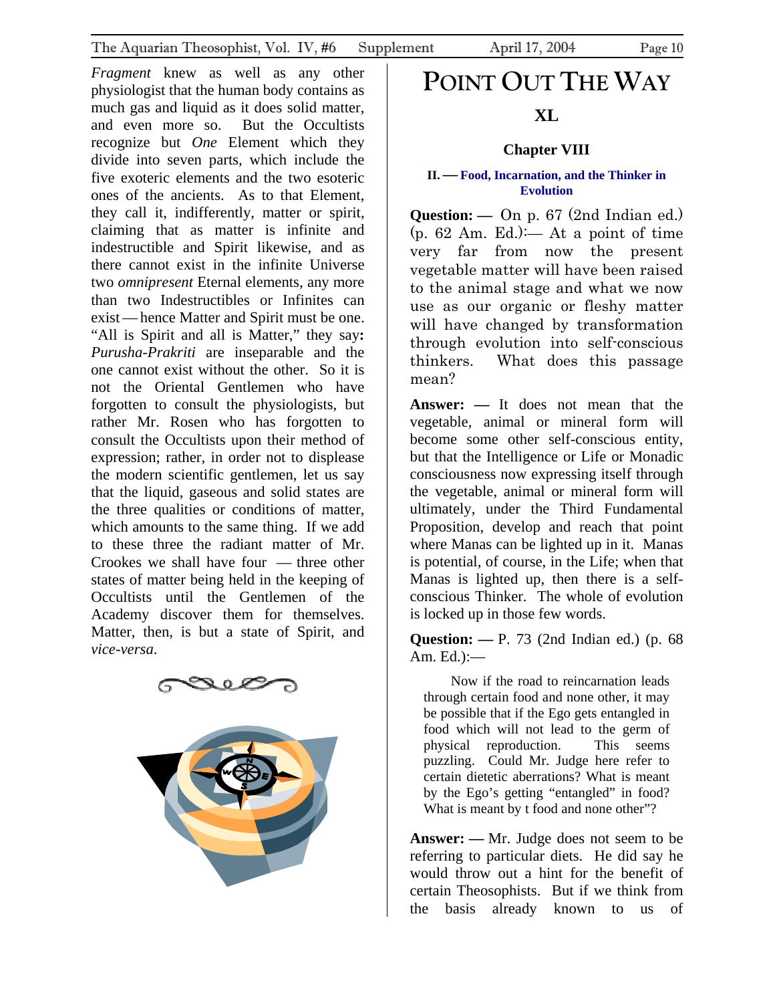<span id="page-9-0"></span>*Fragment* knew as well as any other physiologist that the human body contains as much gas and liquid as it does solid matter, and even more so. But the Occultists recognize but *One* Element which they divide into seven parts, which include the five exoteric elements and the two esoteric ones of the ancients. As to that Element, they call it, indifferently, matter or spirit, claiming that as matter is infinite and indestructible and Spirit likewise, and as there cannot exist in the infinite Universe two *omnipresent* Eternal elements, any more than two Indestructibles or Infinites can exist — hence Matter and Spirit must be one. "All is Spirit and all is Matter," they say**:**  *Purusha-Prakriti* are inseparable and the one cannot exist without the other. So it is not the Oriental Gentlemen who have forgotten to consult the physiologists, but rather Mr. Rosen who has forgotten to consult the Occultists upon their method of expression; rather, in order not to displease the modern scientific gentlemen, let us say that the liquid, gaseous and solid states are the three qualities or conditions of matter, which amounts to the same thing. If we add to these three the radiant matter of Mr. Crookes we shall have four — three other states of matter being held in the keeping of Occultists until the Gentlemen of the Academy discover them for themselves. Matter, then, is but a state of Spirit, and *vice-versa*.





# **POINT OUT THE WAY**

## **XL**

#### **Chapter VIII**

#### **II.—Food, Incarnation, and the Thinker in Evolution**

**Question: —** On p. 67 (2nd Indian ed.)  $(p. 62 \text{ Am. Ed.})$ : At a point of time very far from now the present vegetable matter will have been raised to the animal stage and what we now use as our organic or fleshy matter will have changed by transformation through evolution into self-conscious thinkers. What does this passage mean?

**Answer: —** It does not mean that the vegetable, animal or mineral form will become some other self-conscious entity, but that the Intelligence or Life or Monadic consciousness now expressing itself through the vegetable, animal or mineral form will ultimately, under the Third Fundamental Proposition, develop and reach that point where Manas can be lighted up in it. Manas is potential, of course, in the Life; when that Manas is lighted up, then there is a selfconscious Thinker. The whole of evolution is locked up in those few words.

**Question: —** P. 73 (2nd Indian ed.) (p. 68 Am. Ed.):—

Now if the road to reincarnation leads through certain food and none other, it may be possible that if the Ego gets entangled in food which will not lead to the germ of physical reproduction. This seems puzzling. Could Mr. Judge here refer to certain dietetic aberrations? What is meant by the Ego's getting "entangled" in food? What is meant by t food and none other"?

**Answer: —** Mr. Judge does not seem to be referring to particular diets. He did say he would throw out a hint for the benefit of certain Theosophists. But if we think from the basis already known to us of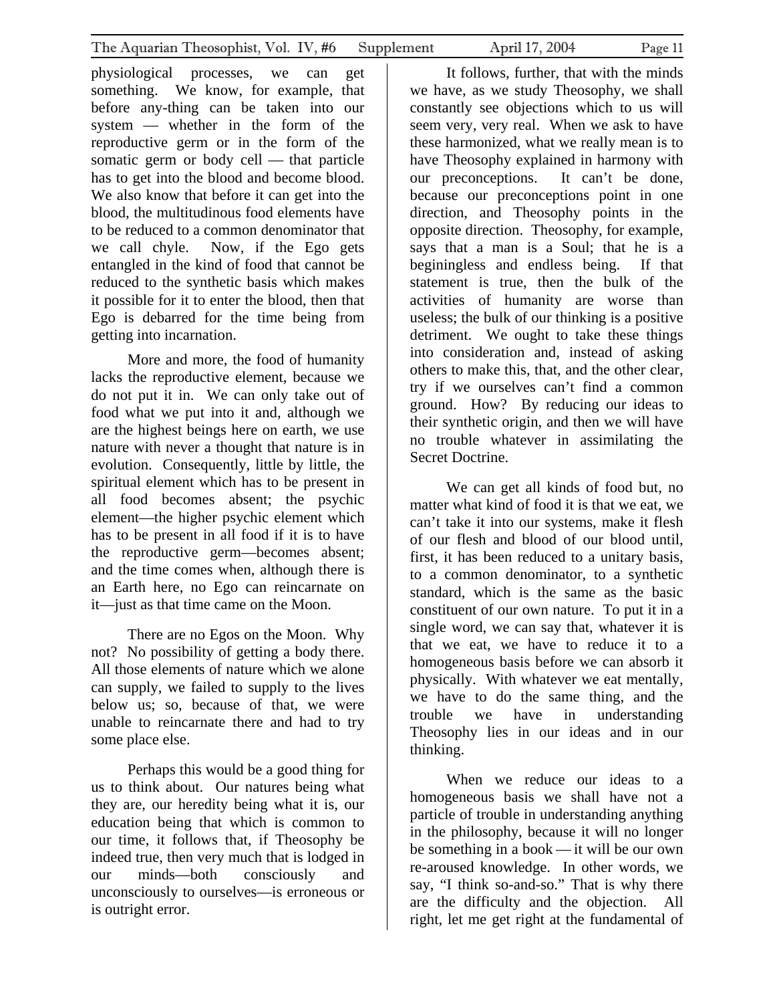physiological processes, we can get something. We know, for example, that before any-thing can be taken into our system — whether in the form of the reproductive germ or in the form of the somatic germ or body cell — that particle has to get into the blood and become blood. We also know that before it can get into the blood, the multitudinous food elements have to be reduced to a common denominator that we call chyle. Now, if the Ego gets entangled in the kind of food that cannot be reduced to the synthetic basis which makes it possible for it to enter the blood, then that Ego is debarred for the time being from getting into incarnation.

More and more, the food of humanity lacks the reproductive element, because we do not put it in. We can only take out of food what we put into it and, although we are the highest beings here on earth, we use nature with never a thought that nature is in evolution. Consequently, little by little, the spiritual element which has to be present in all food becomes absent; the psychic element—the higher psychic element which has to be present in all food if it is to have the reproductive germ—becomes absent; and the time comes when, although there is an Earth here, no Ego can reincarnate on it—just as that time came on the Moon.

There are no Egos on the Moon. Why not? No possibility of getting a body there. All those elements of nature which we alone can supply, we failed to supply to the lives below us; so, because of that, we were unable to reincarnate there and had to try some place else.

Perhaps this would be a good thing for us to think about. Our natures being what they are, our heredity being what it is, our education being that which is common to our time, it follows that, if Theosophy be indeed true, then very much that is lodged in our minds—both consciously and unconsciously to ourselves—is erroneous or is outright error.

It follows, further, that with the minds we have, as we study Theosophy, we shall constantly see objections which to us will seem very, very real. When we ask to have these harmonized, what we really mean is to have Theosophy explained in harmony with our preconceptions. It can't be done, because our preconceptions point in one direction, and Theosophy points in the opposite direction. Theosophy, for example, says that a man is a Soul; that he is a beginingless and endless being. If that statement is true, then the bulk of the activities of humanity are worse than useless; the bulk of our thinking is a positive detriment. We ought to take these things into consideration and, instead of asking others to make this, that, and the other clear, try if we ourselves can't find a common ground. How? By reducing our ideas to their synthetic origin, and then we will have no trouble whatever in assimilating the Secret Doctrine.

We can get all kinds of food but, no matter what kind of food it is that we eat, we can't take it into our systems, make it flesh of our flesh and blood of our blood until, first, it has been reduced to a unitary basis, to a common denominator, to a synthetic standard, which is the same as the basic constituent of our own nature. To put it in a single word, we can say that, whatever it is that we eat, we have to reduce it to a homogeneous basis before we can absorb it physically. With whatever we eat mentally, we have to do the same thing, and the trouble we have in understanding Theosophy lies in our ideas and in our thinking.

When we reduce our ideas to a homogeneous basis we shall have not a particle of trouble in understanding anything in the philosophy, because it will no longer be something in a book — it will be our own re-aroused knowledge. In other words, we say, "I think so-and-so." That is why there are the difficulty and the objection. All right, let me get right at the fundamental of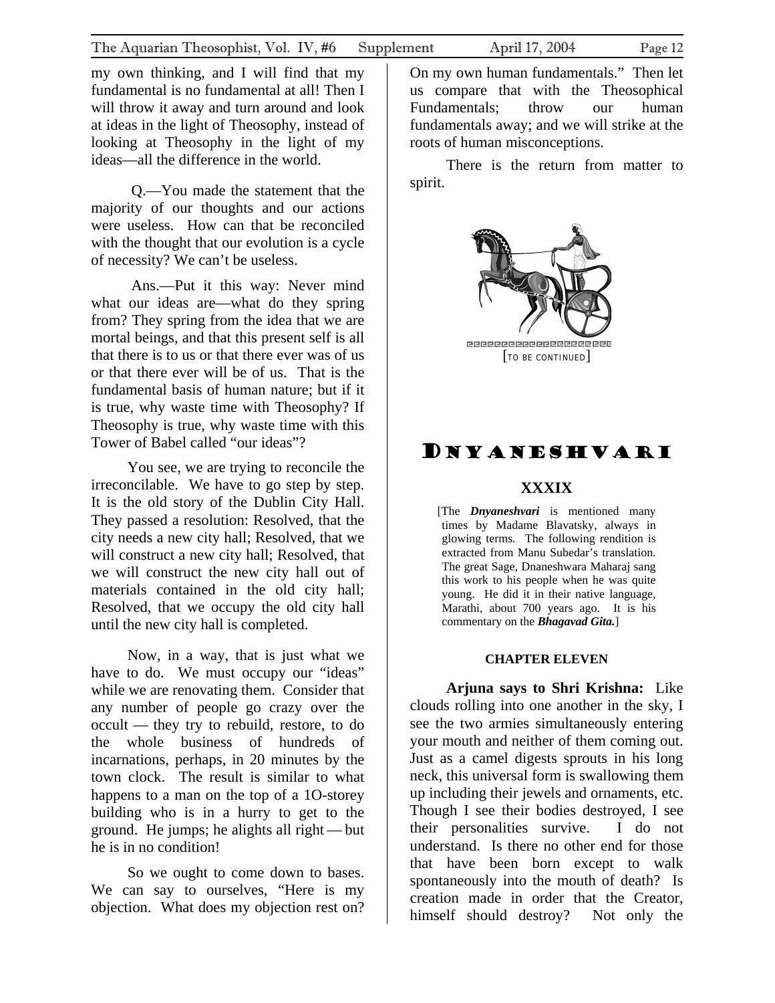<span id="page-11-0"></span>my own thinking, and I will find that my fundamental is no fundamental at all! Then I will throw it away and turn around and look at ideas in the light of Theosophy, instead of looking at Theosophy in the light of my ideas—all the difference in the world.

Q.—You made the statement that the majority of our thoughts and our actions were useless. How can that be reconciled with the thought that our evolution is a cycle of necessity? We can't be useless.

Ans.—Put it this way: Never mind what our ideas are—what do they spring from? They spring from the idea that we are mortal beings, and that this present self is all that there is to us or that there ever was of us or that there ever will be of us. That is the fundamental basis of human nature; but if it is true, why waste time with Theosophy? If Theosophy is true, why waste time with this Tower of Babel called "our ideas"?

You see, we are trying to reconcile the irreconcilable. We have to go step by step. It is the old story of the Dublin City Hall. They passed a resolution: Resolved, that the city needs a new city hall; Resolved, that we will construct a new city hall; Resolved, that we will construct the new city hall out of materials contained in the old city hall; Resolved, that we occupy the old city hall until the new city hall is completed.

Now, in a way, that is just what we have to do. We must occupy our "ideas" while we are renovating them. Consider that any number of people go crazy over the occult — they try to rebuild, restore, to do the whole business of hundreds of incarnations, perhaps, in 20 minutes by the town clock. The result is similar to what happens to a man on the top of a 1O-storey building who is in a hurry to get to the ground. He jumps; he alights all right — but he is in no condition!

So we ought to come down to bases. We can say to ourselves, "Here is my objection. What does my objection rest on?

On my own human fundamentals." Then let us compare that with the Theosophical Fundamentals; throw our human fundamentals away; and we will strike at the roots of human misconceptions.

There is the return from matter to spirit.



## DNYANESHVARI

#### **XXXIX**

[The *Dnyaneshvari* is mentioned many times by Madame Blavatsky, always in glowing terms. The following rendition is extracted from Manu Subedar's translation. The great Sage, Dnaneshwara Maharaj sang this work to his people when he was quite young. He did it in their native language, Marathi, about 700 years ago. It is his commentary on the *Bhagavad Gita.*]

#### **CHAPTER ELEVEN**

**Arjuna says to Shri Krishna:** Like clouds rolling into one another in the sky, I see the two armies simultaneously entering your mouth and neither of them coming out. Just as a camel digests sprouts in his long neck, this universal form is swallowing them up including their jewels and ornaments, etc. Though I see their bodies destroyed, I see their personalities survive. I do not understand. Is there no other end for those that have been born except to walk spontaneously into the mouth of death? Is creation made in order that the Creator, himself should destroy? Not only the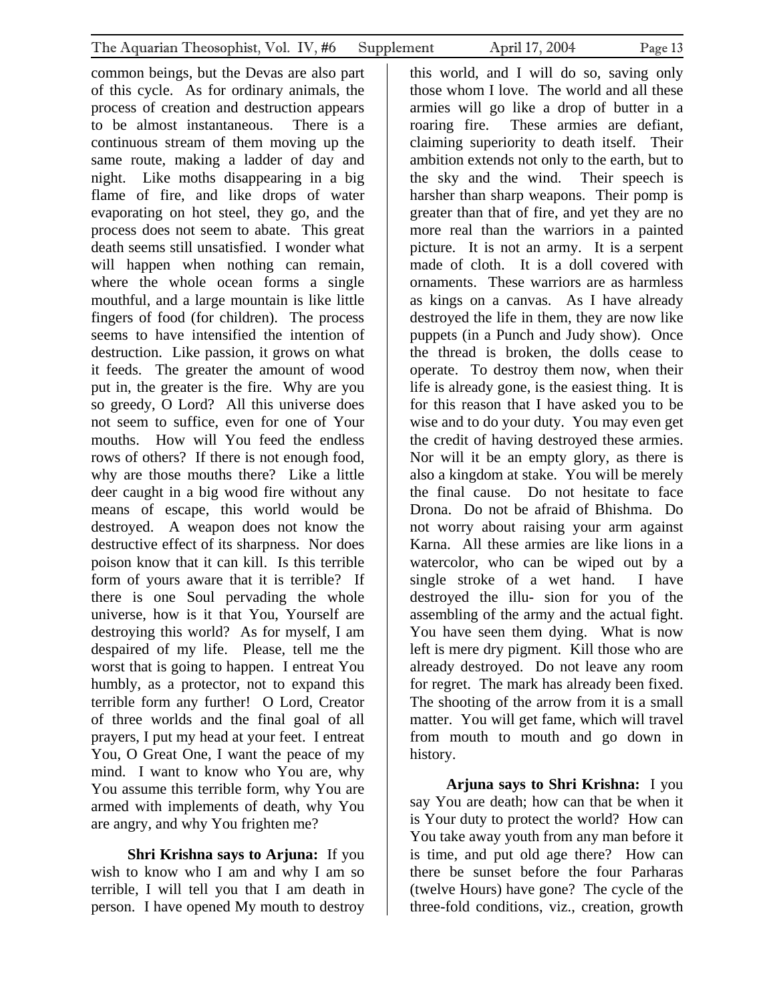common beings, but the Devas are also part of this cycle. As for ordinary animals, the process of creation and destruction appears to be almost instantaneous. There is a continuous stream of them moving up the same route, making a ladder of day and night. Like moths disappearing in a big flame of fire, and like drops of water evaporating on hot steel, they go, and the process does not seem to abate. This great death seems still unsatisfied. I wonder what will happen when nothing can remain, where the whole ocean forms a single mouthful, and a large mountain is like little fingers of food (for children). The process seems to have intensified the intention of destruction. Like passion, it grows on what it feeds. The greater the amount of wood put in, the greater is the fire. Why are you so greedy, O Lord? All this universe does not seem to suffice, even for one of Your mouths. How will You feed the endless rows of others? If there is not enough food, why are those mouths there? Like a little deer caught in a big wood fire without any means of escape, this world would be destroyed. A weapon does not know the destructive effect of its sharpness. Nor does poison know that it can kill. Is this terrible form of yours aware that it is terrible? If there is one Soul pervading the whole universe, how is it that You, Yourself are destroying this world? As for myself, I am despaired of my life. Please, tell me the worst that is going to happen. I entreat You humbly, as a protector, not to expand this terrible form any further! O Lord, Creator of three worlds and the final goal of all prayers, I put my head at your feet. I entreat You, O Great One, I want the peace of my mind. I want to know who You are, why You assume this terrible form, why You are armed with implements of death, why You are angry, and why You frighten me?

**Shri Krishna says to Arjuna:** If you wish to know who I am and why I am so terrible, I will tell you that I am death in person. I have opened My mouth to destroy

this world, and I will do so, saving only those whom I love. The world and all these armies will go like a drop of butter in a roaring fire. These armies are defiant, claiming superiority to death itself. Their ambition extends not only to the earth, but to the sky and the wind. Their speech is harsher than sharp weapons. Their pomp is greater than that of fire, and yet they are no more real than the warriors in a painted picture. It is not an army. It is a serpent made of cloth. It is a doll covered with ornaments. These warriors are as harmless as kings on a canvas. As I have already destroyed the life in them, they are now like puppets (in a Punch and Judy show). Once the thread is broken, the dolls cease to operate. To destroy them now, when their life is already gone, is the easiest thing. It is for this reason that I have asked you to be wise and to do your duty. You may even get the credit of having destroyed these armies. Nor will it be an empty glory, as there is also a kingdom at stake. You will be merely the final cause. Do not hesitate to face Drona. Do not be afraid of Bhishma. Do not worry about raising your arm against Karna. All these armies are like lions in a watercolor, who can be wiped out by a single stroke of a wet hand. I have destroyed the illu- sion for you of the assembling of the army and the actual fight. You have seen them dying. What is now left is mere dry pigment. Kill those who are already destroyed. Do not leave any room for regret. The mark has already been fixed. The shooting of the arrow from it is a small matter. You will get fame, which will travel from mouth to mouth and go down in history.

**Arjuna says to Shri Krishna:** I you say You are death; how can that be when it is Your duty to protect the world? How can You take away youth from any man before it is time, and put old age there? How can there be sunset before the four Parharas (twelve Hours) have gone? The cycle of the three-fold conditions, viz., creation, growth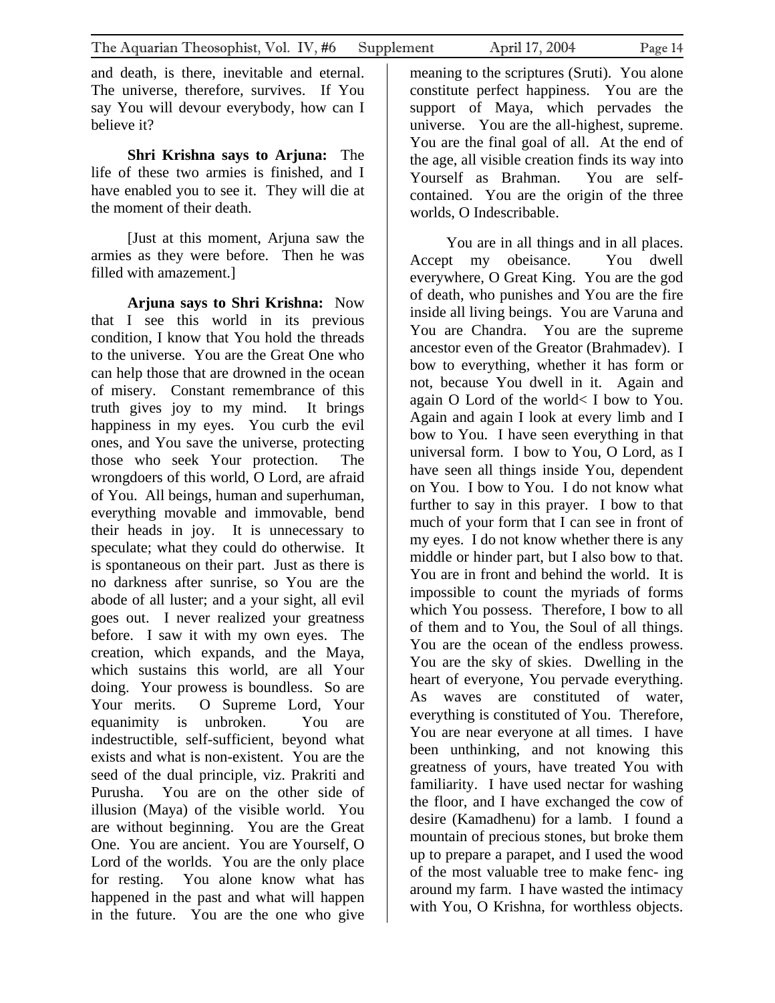and death, is there, inevitable and eternal. The universe, therefore, survives. If You say You will devour everybody, how can I believe it?

**Shri Krishna says to Arjuna:** The life of these two armies is finished, and I have enabled you to see it. They will die at the moment of their death.

[Just at this moment, Arjuna saw the armies as they were before. Then he was filled with amazement.]

**Arjuna says to Shri Krishna:** Now that I see this world in its previous condition, I know that You hold the threads to the universe. You are the Great One who can help those that are drowned in the ocean of misery. Constant remembrance of this truth gives joy to my mind. It brings happiness in my eyes. You curb the evil ones, and You save the universe, protecting those who seek Your protection. The wrongdoers of this world, O Lord, are afraid of You. All beings, human and superhuman, everything movable and immovable, bend their heads in joy. It is unnecessary to speculate; what they could do otherwise. It is spontaneous on their part. Just as there is no darkness after sunrise, so You are the abode of all luster; and a your sight, all evil goes out. I never realized your greatness before. I saw it with my own eyes. The creation, which expands, and the Maya, which sustains this world, are all Your doing. Your prowess is boundless. So are Your merits. O Supreme Lord, Your equanimity is unbroken. You are indestructible, self-sufficient, beyond what exists and what is non-existent. You are the seed of the dual principle, viz. Prakriti and Purusha. You are on the other side of illusion (Maya) of the visible world. You are without beginning. You are the Great One. You are ancient. You are Yourself, O Lord of the worlds. You are the only place for resting. You alone know what has happened in the past and what will happen in the future. You are the one who give

meaning to the scriptures (Sruti). You alone constitute perfect happiness. You are the support of Maya, which pervades the universe. You are the all-highest, supreme. You are the final goal of all. At the end of the age, all visible creation finds its way into Yourself as Brahman. You are selfcontained. You are the origin of the three

worlds, O Indescribable.

You are in all things and in all places. Accept my obeisance. You dwell everywhere, O Great King. You are the god of death, who punishes and You are the fire inside all living beings. You are Varuna and You are Chandra. You are the supreme ancestor even of the Greator (Brahmadev). I bow to everything, whether it has form or not, because You dwell in it. Again and again O Lord of the world< I bow to You. Again and again I look at every limb and I bow to You. I have seen everything in that universal form. I bow to You, O Lord, as I have seen all things inside You, dependent on You. I bow to You. I do not know what further to say in this prayer. I bow to that much of your form that I can see in front of my eyes. I do not know whether there is any middle or hinder part, but I also bow to that. You are in front and behind the world. It is impossible to count the myriads of forms which You possess. Therefore, I bow to all of them and to You, the Soul of all things. You are the ocean of the endless prowess. You are the sky of skies. Dwelling in the heart of everyone, You pervade everything. As waves are constituted of water, everything is constituted of You. Therefore, You are near everyone at all times. I have been unthinking, and not knowing this greatness of yours, have treated You with familiarity. I have used nectar for washing the floor, and I have exchanged the cow of desire (Kamadhenu) for a lamb. I found a mountain of precious stones, but broke them up to prepare a parapet, and I used the wood of the most valuable tree to make fenc- ing around my farm. I have wasted the intimacy with You, O Krishna, for worthless objects.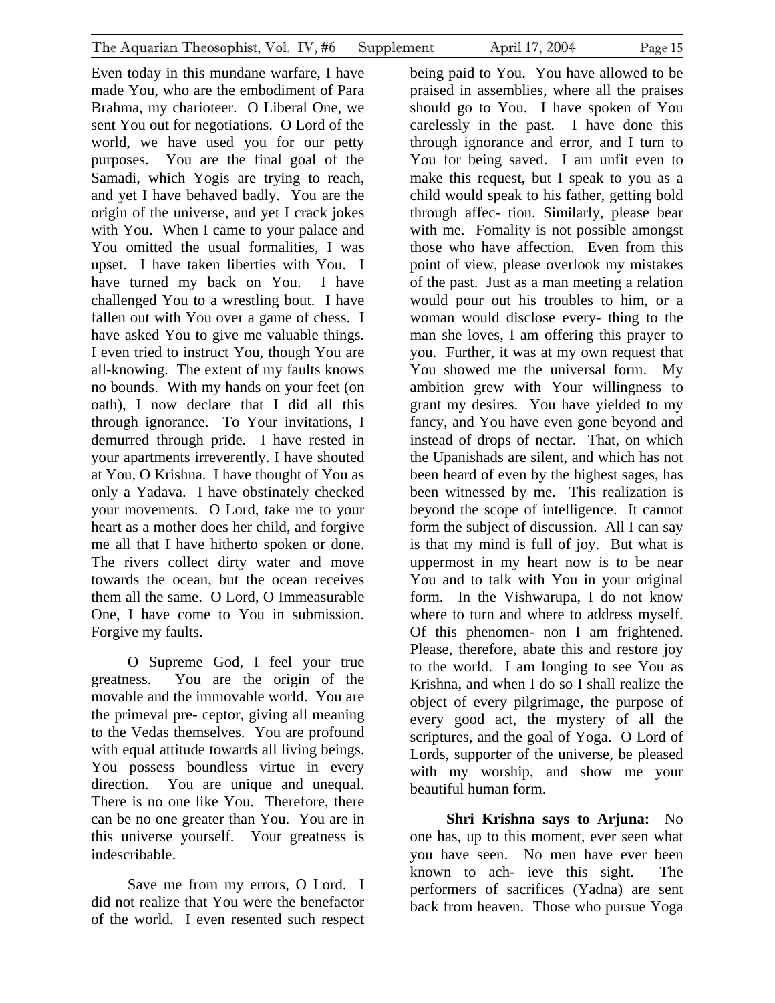Even today in this mundane warfare, I have made You, who are the embodiment of Para Brahma, my charioteer. O Liberal One, we sent You out for negotiations. O Lord of the world, we have used you for our petty purposes. You are the final goal of the Samadi, which Yogis are trying to reach, and yet I have behaved badly. You are the origin of the universe, and yet I crack jokes with You. When I came to your palace and You omitted the usual formalities, I was upset. I have taken liberties with You. I have turned my back on You. I have challenged You to a wrestling bout. I have fallen out with You over a game of chess. I have asked You to give me valuable things. I even tried to instruct You, though You are all-knowing. The extent of my faults knows no bounds. With my hands on your feet (on oath), I now declare that I did all this through ignorance. To Your invitations, I demurred through pride. I have rested in your apartments irreverently. I have shouted at You, O Krishna. I have thought of You as only a Yadava. I have obstinately checked your movements. O Lord, take me to your heart as a mother does her child, and forgive me all that I have hitherto spoken or done. The rivers collect dirty water and move towards the ocean, but the ocean receives them all the same. O Lord, O Immeasurable One, I have come to You in submission. Forgive my faults.

O Supreme God, I feel your true greatness. You are the origin of the movable and the immovable world. You are the primeval pre- ceptor, giving all meaning to the Vedas themselves. You are profound with equal attitude towards all living beings. You possess boundless virtue in every direction. You are unique and unequal. There is no one like You. Therefore, there can be no one greater than You. You are in this universe yourself. Your greatness is indescribable.

Save me from my errors, O Lord. I did not realize that You were the benefactor of the world. I even resented such respect

being paid to You. You have allowed to be praised in assemblies, where all the praises should go to You. I have spoken of You carelessly in the past. I have done this through ignorance and error, and I turn to You for being saved. I am unfit even to make this request, but I speak to you as a child would speak to his father, getting bold through affec- tion. Similarly, please bear with me. Fomality is not possible amongst those who have affection. Even from this point of view, please overlook my mistakes of the past. Just as a man meeting a relation would pour out his troubles to him, or a woman would disclose every- thing to the man she loves, I am offering this prayer to you. Further, it was at my own request that You showed me the universal form. My ambition grew with Your willingness to grant my desires. You have yielded to my fancy, and You have even gone beyond and instead of drops of nectar. That, on which the Upanishads are silent, and which has not been heard of even by the highest sages, has been witnessed by me. This realization is beyond the scope of intelligence. It cannot form the subject of discussion. All I can say is that my mind is full of joy. But what is uppermost in my heart now is to be near You and to talk with You in your original form. In the Vishwarupa, I do not know where to turn and where to address myself. Of this phenomen- non I am frightened. Please, therefore, abate this and restore joy to the world. I am longing to see You as Krishna, and when I do so I shall realize the object of every pilgrimage, the purpose of every good act, the mystery of all the scriptures, and the goal of Yoga. O Lord of Lords, supporter of the universe, be pleased with my worship, and show me your beautiful human form.

**Shri Krishna says to Arjuna:** No one has, up to this moment, ever seen what you have seen. No men have ever been known to ach- ieve this sight. The performers of sacrifices (Yadna) are sent back from heaven. Those who pursue Yoga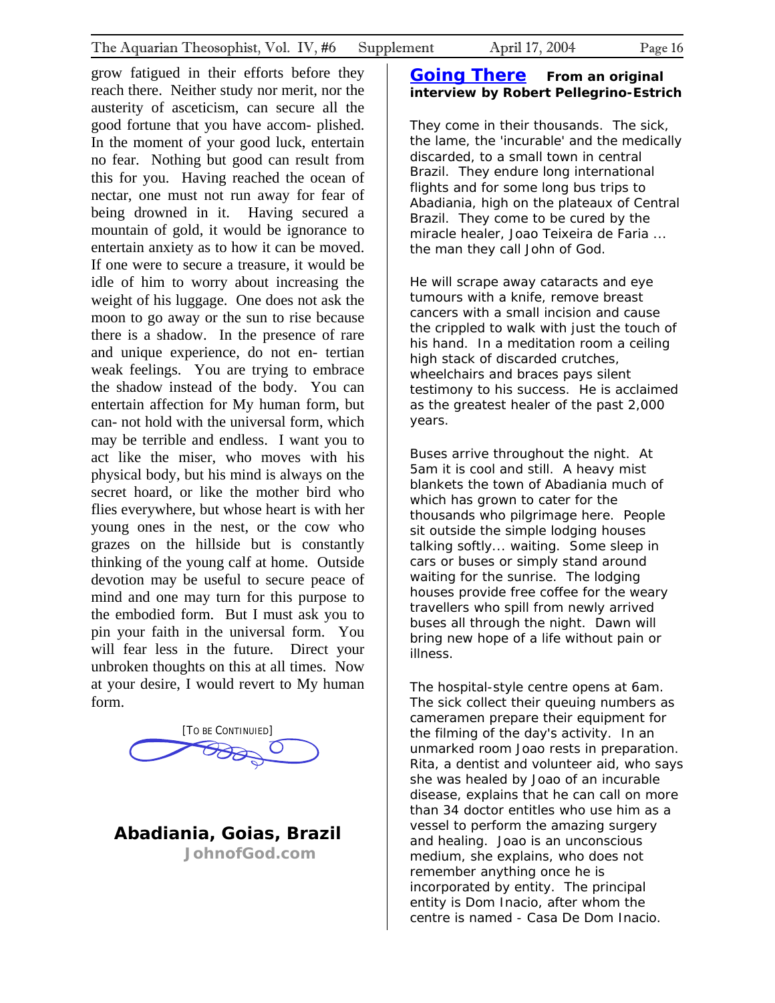<span id="page-15-0"></span>grow fatigued in their efforts before they reach there. Neither study nor merit, nor the austerity of asceticism, can secure all the good fortune that you have accom- plished. In the moment of your good luck, entertain no fear. Nothing but good can result from this for you. Having reached the ocean of nectar, one must not run away for fear of being drowned in it. Having secured a mountain of gold, it would be ignorance to entertain anxiety as to how it can be moved. If one were to secure a treasure, it would be idle of him to worry about increasing the weight of his luggage. One does not ask the moon to go away or the sun to rise because there is a shadow. In the presence of rare and unique experience, do not en- tertian weak feelings. You are trying to embrace the shadow instead of the body. You can entertain affection for My human form, but can- not hold with the universal form, which may be terrible and endless. I want you to act like the miser, who moves with his physical body, but his mind is always on the secret hoard, or like the mother bird who flies everywhere, but whose heart is with her young ones in the nest, or the cow who grazes on the hillside but is constantly thinking of the young calf at home. Outside devotion may be useful to secure peace of mind and one may turn for this purpose to the embodied form. But I must ask you to pin your faith in the universal form. You will fear less in the future. Direct your unbroken thoughts on this at all times. Now at your desire, I would revert to My human



form.

**Abadiania, Goias, Brazil JohnofGod.com**

#### **[Going There](http://www.johnofgod.com/go.htm)** *From an original interview by Robert Pellegrino-Estrich*

They come in their thousands. The sick, the lame, the 'incurable' and the medically discarded, to a small town in central Brazil. They endure long international flights and for some long bus trips to Abadiania, high on the plateaux of Central Brazil. They come to be cured by the miracle healer, Joao Teixeira de Faria ... the man they call John of God.

He will scrape away cataracts and eye tumours with a knife, remove breast cancers with a small incision and cause the crippled to walk with just the touch of his hand. In a meditation room a ceiling high stack of discarded crutches, wheelchairs and braces pays silent testimony to his success. He is acclaimed as the greatest healer of the past 2,000 years.

Buses arrive throughout the night. At 5am it is cool and still. A heavy mist blankets the town of Abadiania much of which has grown to cater for the thousands who pilgrimage here. People sit outside the simple lodging houses talking softly... waiting. Some sleep in cars or buses or simply stand around waiting for the sunrise. The lodging houses provide free coffee for the weary travellers who spill from newly arrived buses all through the night. Dawn will bring new hope of a life without pain or illness.

The hospital-style centre opens at 6am. The sick collect their queuing numbers as cameramen prepare their equipment for the filming of the day's activity. In an unmarked room Joao rests in preparation. Rita, a dentist and volunteer aid, who says she was healed by Joao of an incurable disease, explains that he can call on more than 34 doctor entitles who use him as a vessel to perform the amazing surgery and healing. Joao is an unconscious medium, she explains, who does not remember anything once he is incorporated by entity. The principal entity is Dom Inacio, after whom the centre is named - Casa De Dom Inacio.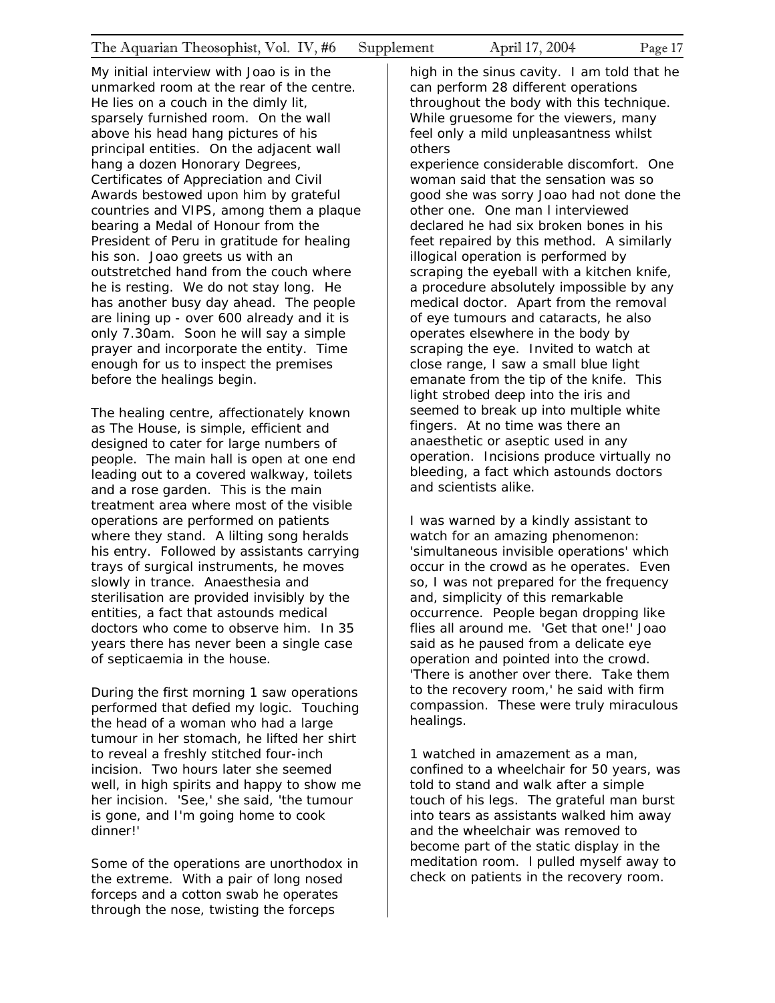My initial interview with Joao is in the unmarked room at the rear of the centre. He lies on a couch in the dimly lit, sparsely furnished room. On the wall above his head hang pictures of his principal entities. On the adjacent wall hang a dozen Honorary Degrees, Certificates of Appreciation and Civil Awards bestowed upon him by grateful countries and VIPS, among them a plaque bearing a Medal of Honour from the President of Peru in gratitude for healing his son. Joao greets us with an outstretched hand from the couch where he is resting. We do not stay long. He has another busy day ahead. The people are lining up - over 600 already and it is only 7.30am. Soon he will say a simple prayer and incorporate the entity. Time enough for us to inspect the premises before the healings begin.

The healing centre, affectionately known as The House, is simple, efficient and designed to cater for large numbers of people. The main hall is open at one end leading out to a covered walkway, toilets and a rose garden. This is the main treatment area where most of the visible operations are performed on patients where they stand. A lilting song heralds his entry. Followed by assistants carrying trays of surgical instruments, he moves slowly in trance. Anaesthesia and sterilisation are provided invisibly by the entities, a fact that astounds medical doctors who come to observe him. In 35 years there has never been a single case of septicaemia in the house.

During the first morning 1 saw operations performed that defied my logic. Touching the head of a woman who had a large tumour in her stomach, he lifted her shirt to reveal a freshly stitched four-inch incision. Two hours later she seemed well, in high spirits and happy to show me her incision. 'See,' she said, 'the tumour is gone, and I'm going home to cook dinner!'

Some of the operations are unorthodox in the extreme. With a pair of long nosed forceps and a cotton swab he operates through the nose, twisting the forceps

high in the sinus cavity. I am told that he can perform 28 different operations throughout the body with this technique. While gruesome for the viewers, many feel only a mild unpleasantness whilst others

experience considerable discomfort. One woman said that the sensation was so good she was sorry Joao had not done the other one. One man l interviewed declared he had six broken bones in his feet repaired by this method. A similarly illogical operation is performed by scraping the eyeball with a kitchen knife, a procedure absolutely impossible by any medical doctor. Apart from the removal of eye tumours and cataracts, he also operates elsewhere in the body by scraping the eye. Invited to watch at close range, I saw a small blue light emanate from the tip of the knife. This light strobed deep into the iris and seemed to break up into multiple white fingers. At no time was there an anaesthetic or aseptic used in any operation. Incisions produce virtually no bleeding, a fact which astounds doctors and scientists alike.

I was warned by a kindly assistant to watch for an amazing phenomenon: 'simultaneous invisible operations' which occur in the crowd as he operates. Even so, I was not prepared for the frequency and, simplicity of this remarkable occurrence. People began dropping like flies all around me. 'Get that one!' Joao said as he paused from a delicate eye operation and pointed into the crowd. 'There is another over there. Take them to the recovery room,' he said with firm compassion. These were truly miraculous healings.

1 watched in amazement as a man, confined to a wheelchair for 50 years, was told to stand and walk after a simple touch of his legs. The grateful man burst into tears as assistants walked him away and the wheelchair was removed to become part of the static display in the meditation room. l pulled myself away to check on patients in the recovery room.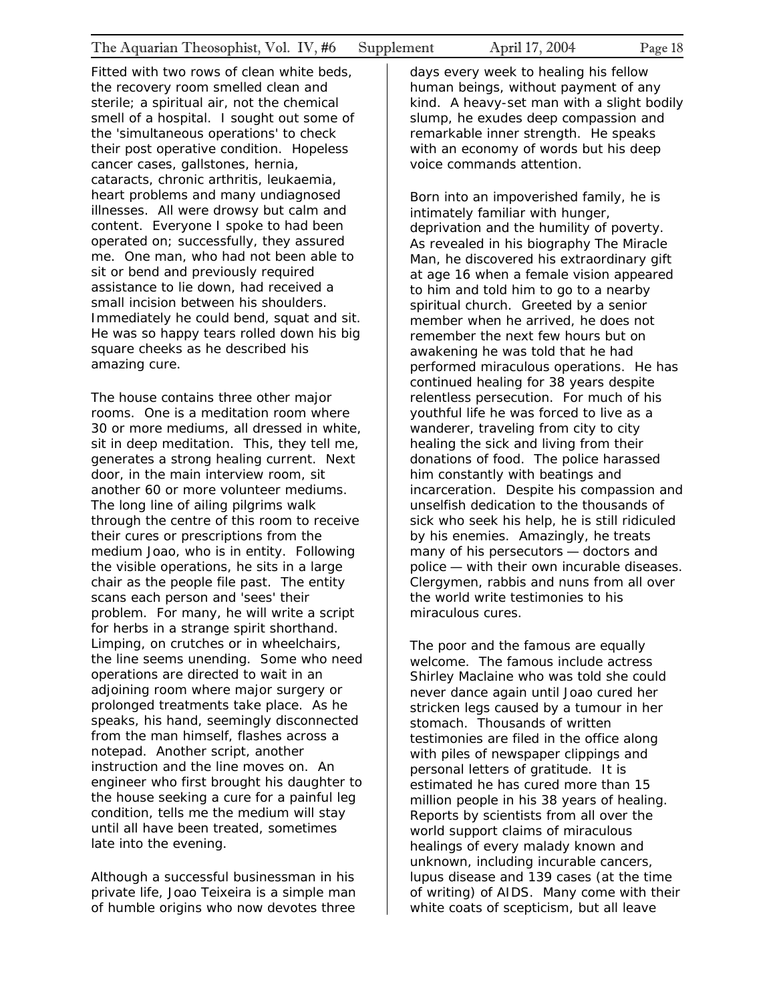Fitted with two rows of clean white beds, the recovery room smelled clean and sterile; a spiritual air, not the chemical smell of a hospital. I sought out some of the 'simultaneous operations' to check their post operative condition. Hopeless cancer cases, gallstones, hernia, cataracts, chronic arthritis, leukaemia, heart problems and many undiagnosed illnesses. All were drowsy but calm and content. Everyone I spoke to had been operated on; successfully, they assured me. One man, who had not been able to sit or bend and previously required assistance to lie down, had received a small incision between his shoulders. Immediately he could bend, squat and sit. He was so happy tears rolled down his big square cheeks as he described his amazing cure.

The house contains three other major rooms. One is a meditation room where 30 or more mediums, all dressed in white, sit in deep meditation. This, they tell me, generates a strong healing current. Next door, in the main interview room, sit another 60 or more volunteer mediums. The long line of ailing pilgrims walk through the centre of this room to receive their cures or prescriptions from the medium Joao, who is in entity. Following the visible operations, he sits in a large chair as the people file past. The entity scans each person and 'sees' their problem. For many, he will write a script for herbs in a strange spirit shorthand. Limping, on crutches or in wheelchairs, the line seems unending. Some who need operations are directed to wait in an adjoining room where major surgery or prolonged treatments take place. As he speaks, his hand, seemingly disconnected from the man himself, flashes across a notepad. Another script, another instruction and the line moves on. An engineer who first brought his daughter to the house seeking a cure for a painful leg condition, tells me the medium will stay until all have been treated, sometimes late into the evening.

Although a successful businessman in his private life, Joao Teixeira is a simple man of humble origins who now devotes three

days every week to healing his fellow human beings, without payment of any kind. A heavy-set man with a slight bodily slump, he exudes deep compassion and remarkable inner strength. He speaks with an economy of words but his deep voice commands attention.

Born into an impoverished family, he is intimately familiar with hunger, deprivation and the humility of poverty. As revealed in his biography *The Miracle Man,* he discovered his extraordinary gift at age 16 when a female vision appeared to him and told him to go to a nearby spiritual church. Greeted by a senior member when he arrived, he does not remember the next few hours but on awakening he was told that he had performed miraculous operations. He has continued healing for 38 years despite relentless persecution. For much of his youthful life he was forced to live as a wanderer, traveling from city to city healing the sick and living from their donations of food. The police harassed him constantly with beatings and incarceration. Despite his compassion and unselfish dedication to the thousands of sick who seek his help, he is still ridiculed by his enemies. Amazingly, he treats many of his persecutors — doctors and police — with their own incurable diseases. Clergymen, rabbis and nuns from all over the world write testimonies to his miraculous cures.

The poor and the famous are equally welcome. The famous include actress Shirley Maclaine who was told she could never dance again until Joao cured her stricken legs caused by a tumour in her stomach. Thousands of written testimonies are filed in the office along with piles of newspaper clippings and personal letters of gratitude. It is estimated he has cured more than 15 million people in his 38 years of healing. Reports by scientists from all over the world support claims of miraculous healings of every malady known and unknown, including incurable cancers, lupus disease and 139 cases (at the time of writing) of AIDS. Many come with their white coats of scepticism, but all leave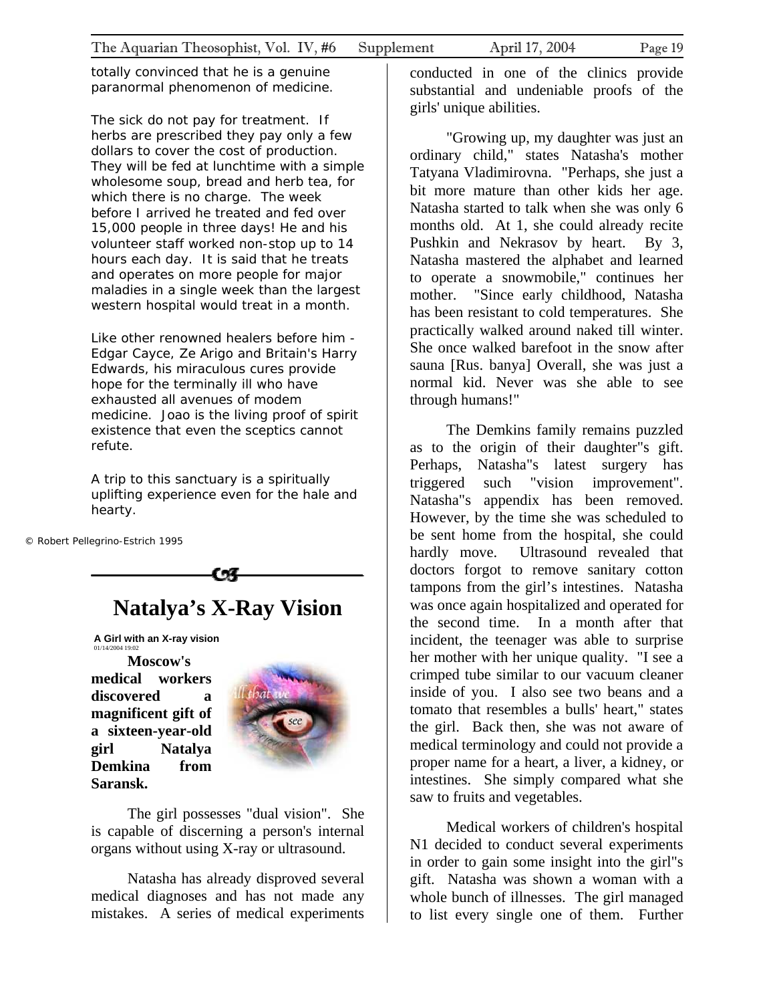<span id="page-18-0"></span>totally convinced that he is a genuine paranormal phenomenon of medicine.

The sick do not pay for treatment. If herbs are prescribed they pay only a few dollars to cover the cost of production. They will be fed at lunchtime with a simple wholesome soup, bread and herb tea, for which there is no charge. The week before I arrived he treated and fed over 15,000 people in three days! He and his volunteer staff worked non-stop up to 14 hours each day. It is said that he treats and operates on more people for major maladies in a single week than the largest western hospital would treat in a month.

Like other renowned healers before him - Edgar Cayce, Ze Arigo and Britain's Harry Edwards, his miraculous cures provide hope for the terminally ill who have exhausted all avenues of modem medicine. Joao is the living proof of spirit existence that even the sceptics cannot refute.

A trip to this sanctuary is a spiritually uplifting experience even for the hale and hearty.

© Robert Pellegrino-Estrich 1995

## **Natalya's X-Ray Vision**

**A Girl with an X-ray vision** 01/14/2004 19:02

**Moscow's medical workers discovered a magnificent gift of a sixteen-year-old girl Natalya Demkina from Saransk.** 



The girl possesses "dual vision". She is capable of discerning a person's internal organs without using X-ray or ultrasound.

Natasha has already disproved several medical diagnoses and has not made any mistakes. A series of medical experiments

conducted in one of the clinics provide substantial and undeniable proofs of the girls' unique abilities.

"Growing up, my daughter was just an ordinary child," states Natasha's mother Tatyana Vladimirovna. "Perhaps, she just a bit more mature than other kids her age. Natasha started to talk when she was only 6 months old. At 1, she could already recite Pushkin and Nekrasov by heart. By 3, Natasha mastered the alphabet and learned to operate a snowmobile," continues her mother. "Since early childhood, Natasha has been resistant to cold temperatures. She practically walked around naked till winter. She once walked barefoot in the snow after sauna [Rus. banya] Overall, she was just a normal kid. Never was she able to see through humans!"

The Demkins family remains puzzled as to the origin of their daughter"s gift. Perhaps, Natasha"s latest surgery has triggered such "vision improvement". Natasha"s appendix has been removed. However, by the time she was scheduled to be sent home from the hospital, she could hardly move. Ultrasound revealed that doctors forgot to remove sanitary cotton tampons from the girl's intestines. Natasha was once again hospitalized and operated for the second time. In a month after that incident, the teenager was able to surprise her mother with her unique quality. "I see a crimped tube similar to our vacuum cleaner inside of you. I also see two beans and a tomato that resembles a bulls' heart," states the girl. Back then, she was not aware of medical terminology and could not provide a proper name for a heart, a liver, a kidney, or intestines. She simply compared what she saw to fruits and vegetables.

Medical workers of children's hospital N1 decided to conduct several experiments in order to gain some insight into the girl"s gift. Natasha was shown a woman with a whole bunch of illnesses. The girl managed to list every single one of them. Further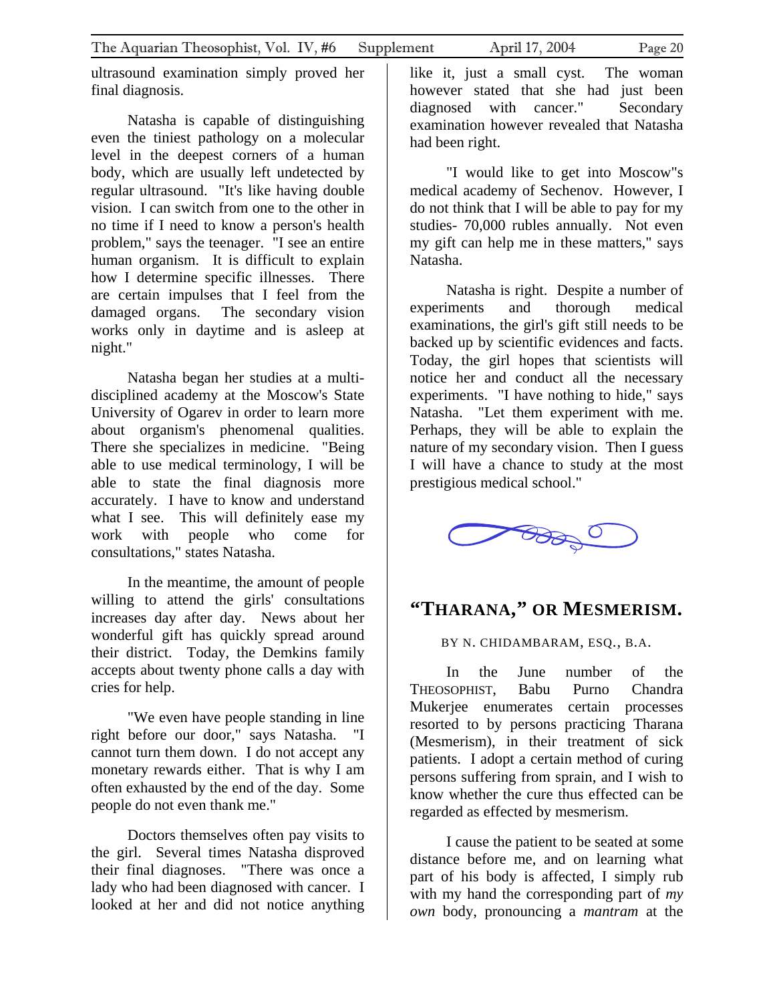<span id="page-19-0"></span>ultrasound examination simply proved her final diagnosis.

Natasha is capable of distinguishing even the tiniest pathology on a molecular level in the deepest corners of a human body, which are usually left undetected by regular ultrasound. "It's like having double vision. I can switch from one to the other in no time if I need to know a person's health problem," says the teenager. "I see an entire human organism. It is difficult to explain how I determine specific illnesses. There are certain impulses that I feel from the damaged organs. The secondary vision works only in daytime and is asleep at night."

Natasha began her studies at a multidisciplined academy at the Moscow's State University of Ogarev in order to learn more about organism's phenomenal qualities. There she specializes in medicine. "Being able to use medical terminology, I will be able to state the final diagnosis more accurately. I have to know and understand what I see. This will definitely ease my work with people who come for consultations," states Natasha.

In the meantime, the amount of people willing to attend the girls' consultations increases day after day. News about her wonderful gift has quickly spread around their district. Today, the Demkins family accepts about twenty phone calls a day with cries for help.

"We even have people standing in line right before our door," says Natasha. "I cannot turn them down. I do not accept any monetary rewards either. That is why I am often exhausted by the end of the day. Some people do not even thank me."

Doctors themselves often pay visits to the girl. Several times Natasha disproved their final diagnoses. "There was once a lady who had been diagnosed with cancer. I looked at her and did not notice anything

like it, just a small cyst. The woman however stated that she had just been diagnosed with cancer." Secondary examination however revealed that Natasha had been right.

"I would like to get into Moscow"s medical academy of Sechenov. However, I do not think that I will be able to pay for my studies- 70,000 rubles annually. Not even my gift can help me in these matters," says Natasha.

Natasha is right. Despite a number of experiments and thorough medical examinations, the girl's gift still needs to be backed up by scientific evidences and facts. Today, the girl hopes that scientists will notice her and conduct all the necessary experiments. "I have nothing to hide," says Natasha. "Let them experiment with me. Perhaps, they will be able to explain the nature of my secondary vision. Then I guess I will have a chance to study at the most prestigious medical school."



### **"THARANA," OR MESMERISM.**

BY N. CHIDAMBARAM, ESQ., B.A.

In the June number of the THEOSOPHIST, Babu Purno Chandra Mukerjee enumerates certain processes resorted to by persons practicing Tharana (Mesmerism), in their treatment of sick patients. I adopt a certain method of curing persons suffering from sprain, and I wish to know whether the cure thus effected can be regarded as effected by mesmerism.

I cause the patient to be seated at some distance before me, and on learning what part of his body is affected, I simply rub with my hand the corresponding part of *my own* body, pronouncing a *mantram* at the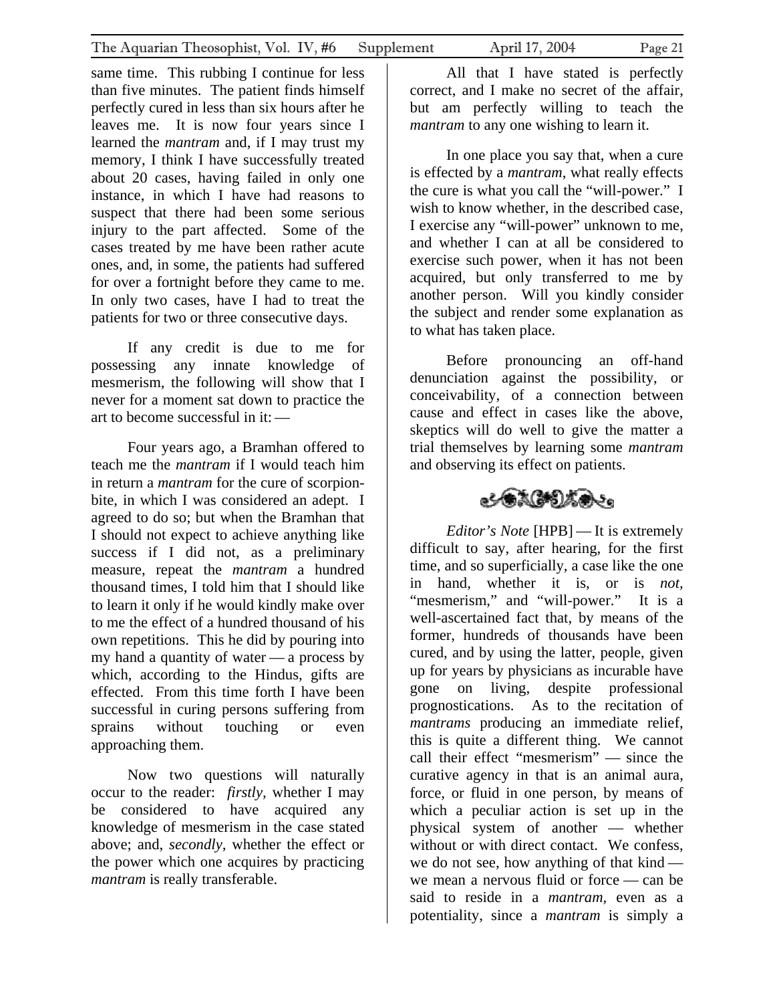same time. This rubbing I continue for less than five minutes. The patient finds himself perfectly cured in less than six hours after he leaves me. It is now four years since I learned the *mantram* and, if I may trust my memory, I think I have successfully treated about 20 cases, having failed in only one instance, in which I have had reasons to suspect that there had been some serious injury to the part affected. Some of the cases treated by me have been rather acute ones, and, in some, the patients had suffered for over a fortnight before they came to me. In only two cases, have I had to treat the patients for two or three consecutive days.

If any credit is due to me for possessing any innate knowledge of mesmerism, the following will show that I never for a moment sat down to practice the art to become successful in it:—

Four years ago, a Bramhan offered to teach me the *mantram* if I would teach him in return a *mantram* for the cure of scorpionbite, in which I was considered an adept. I agreed to do so; but when the Bramhan that I should not expect to achieve anything like success if I did not, as a preliminary measure, repeat the *mantram* a hundred thousand times, I told him that I should like to learn it only if he would kindly make over to me the effect of a hundred thousand of his own repetitions. This he did by pouring into my hand a quantity of water — a process by which, according to the Hindus, gifts are effected. From this time forth I have been successful in curing persons suffering from sprains without touching or even approaching them.

Now two questions will naturally occur to the reader: *firstly,* whether I may be considered to have acquired any knowledge of mesmerism in the case stated above; and, *secondly,* whether the effect or the power which one acquires by practicing *mantram* is really transferable.

All that I have stated is perfectly correct, and I make no secret of the affair, but am perfectly willing to teach the *mantram* to any one wishing to learn it.

In one place you say that, when a cure is effected by a *mantram*, what really effects the cure is what you call the "will-power." I wish to know whether, in the described case, I exercise any "will-power" unknown to me, and whether I can at all be considered to exercise such power, when it has not been acquired, but only transferred to me by another person. Will you kindly consider the subject and render some explanation as to what has taken place.

Before pronouncing an off-hand denunciation against the possibility, or conceivability, of a connection between cause and effect in cases like the above, skeptics will do well to give the matter a trial themselves by learning some *mantram* and observing its effect on patients.

## 心気はけない。

*Editor's Note* [HPB] — It is extremely difficult to say, after hearing, for the first time, and so superficially, a case like the one in hand, whether it is, or is *not,* "mesmerism," and "will-power." It is a well-ascertained fact that, by means of the former, hundreds of thousands have been cured, and by using the latter, people, given up for years by physicians as incurable have gone on living, despite professional prognostications. As to the recitation of *mantrams* producing an immediate relief, this is quite a different thing. We cannot call their effect "mesmerism" — since the curative agency in that is an animal aura, force, or fluid in one person, by means of which a peculiar action is set up in the physical system of another — whether without or with direct contact. We confess, we do not see, how anything of that kind we mean a nervous fluid or force — can be said to reside in a *mantram,* even as a potentiality, since a *mantram* is simply a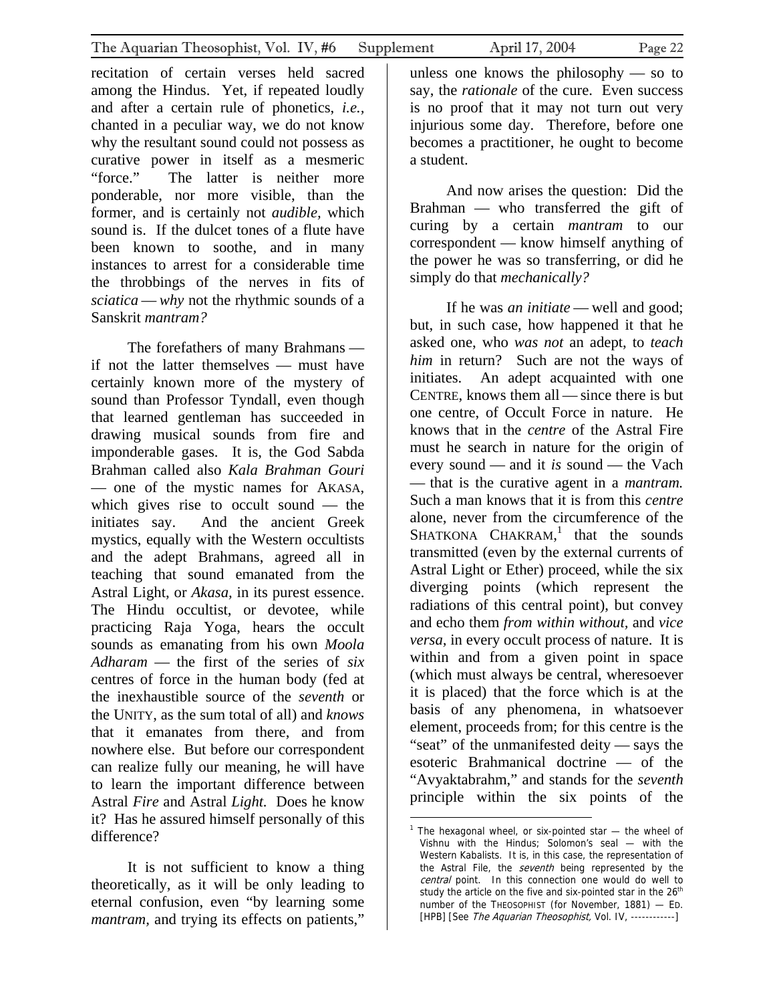recitation of certain verses held sacred among the Hindus. Yet, if repeated loudly and after a certain rule of phonetics, *i.e.,* chanted in a peculiar way, we do not know why the resultant sound could not possess as curative power in itself as a mesmeric "force." The latter is neither more ponderable, nor more visible, than the former, and is certainly not *audible,* which sound is. If the dulcet tones of a flute have been known to soothe, and in many instances to arrest for a considerable time the throbbings of the nerves in fits of *sciatica* — *why* not the rhythmic sounds of a Sanskrit *mantram?*

The forefathers of many Brahmans if not the latter themselves — must have certainly known more of the mystery of sound than Professor Tyndall, even though that learned gentleman has succeeded in drawing musical sounds from fire and imponderable gases. It is, the God Sabda Brahman called also *Kala Brahman Gouri* — one of the mystic names for AKASA, which gives rise to occult sound — the initiates say. And the ancient Greek mystics, equally with the Western occultists and the adept Brahmans, agreed all in teaching that sound emanated from the Astral Light, or *Akasa,* in its purest essence. The Hindu occultist, or devotee, while practicing Raja Yoga, hears the occult sounds as emanating from his own *Moola Adharam* — the first of the series of *six* centres of force in the human body (fed at the inexhaustible source of the *seventh* or the UNITY, as the sum total of all) and *knows* that it emanates from there, and from nowhere else. But before our correspondent can realize fully our meaning, he will have to learn the important difference between Astral *Fire* and Astral *Light.* Does he know it? Has he assured himself personally of this difference?

It is not sufficient to know a thing theoretically, as it will be only leading to eternal confusion, even "by learning some *mantram,* and trying its effects on patients,"

say, the *rationale* of the cure. Even success is no proof that it may not turn out very injurious some day. Therefore, before one becomes a practitioner, he ought to become a student.

And now arises the question: Did the Brahman — who transferred the gift of curing by a certain *mantram* to our correspondent — know himself anything of the power he was so transferring, or did he simply do that *mechanically?* 

If he was *an initiate* — well and good; but, in such case, how happened it that he asked one, who *was not* an adept, to *teach him* in return? Such are not the ways of initiates. An adept acquainted with one CENTRE, knows them all — since there is but one centre, of Occult Force in nature. He knows that in the *centre* of the Astral Fire must he search in nature for the origin of every sound — and it *is* sound — the Vach — that is the curative agent in a *mantram.* Such a man knows that it is from this *centre* alone, never from the circumference of the SHATKONA  $CHAKRAM$ , that the sounds transmitted (even by the external currents of Astral Light or Ether) proceed, while the six diverging points (which represent the radiations of this central point), but convey and echo them *from within without,* and *vice versa,* in every occult process of nature. It is within and from a given point in space (which must always be central, wheresoever it is placed) that the force which is at the basis of any phenomena, in whatsoever element, proceeds from; for this centre is the "seat" of the unmanifested deity — says the esoteric Brahmanical doctrine — of the "Avyaktabrahm," and stands for the *seventh* principle within the six points of the

1

<span id="page-21-0"></span><sup>&</sup>lt;sup>1</sup> The hexagonal wheel, or six-pointed star  $-$  the wheel of Vishnu with the Hindus; Solomon's seal — with the Western Kabalists. It is, in this case, the representation of the Astral File, the *seventh* being represented by the central point. In this connection one would do well to study the article on the five and six-pointed star in the 26<sup>th</sup> number of the THEOSOPHIST (for November, 1881) — ED. [HPB] [See The Aquarian Theosophist, Vol. IV, ------------]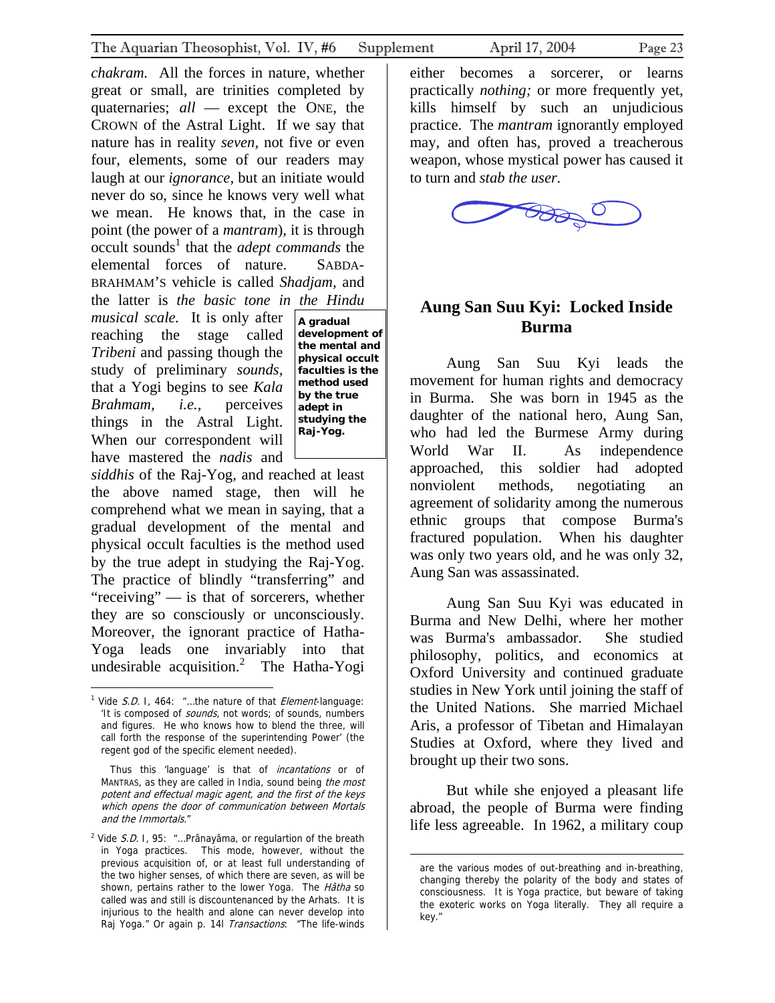<span id="page-22-0"></span>*chakram.* All the forces in nature, whether great or small, are trinities completed by quaternaries; *all* — except the ONE, the CROWN of the Astral Light. If we say that nature has in reality *seven,* not five or even four, elements, some of our readers may laugh at our *ignorance,* but an initiate would never do so, since he knows very well what we mean. He knows that, in the case in point (the power of a *mantram*), it is through occult sounds<sup>[1](#page-22-1)</sup> that the *adept commands* the elemental forces of nature. SABDA-BRAHMAM'S vehicle is called *Shadjam,* and the latter is *the basic tone in the Hindu* 

*musical scale.* It is only after reaching the stage called *Tribeni* and passing though the study of preliminary *sounds,*  that a Yogi begins to see *Kala Brahmam, i.e.,* perceives things in the Astral Light. When our correspondent will have mastered the *nadis* and

**the mental and physical occult faculties is the method used by the true adept in studying the Raj-Yog.** 

*siddhis* of the Raj-Yog, and reached at least the above named stage, then will he comprehend what we mean in saying, that a gradual development of the mental and physical occult faculties is the method used by the true adept in studying the Raj-Yog. The practice of blindly "transferring" and "receiving" — is that of sorcerers, whether they are so consciously or unconsciously. Moreover, the ignorant practice of Hatha-Yoga leads one invariably into that undesirable acquisition.<sup>[2](#page-22-2)</sup> The Hatha-Yogi

 $\overline{a}$ 

either becomes a sorcerer, or learns practically *nothing;* or more frequently yet, kills himself by such an unjudicious practice. The *mantram* ignorantly employed may, and often has, proved a treacherous weapon, whose mystical power has caused it to turn and *stab the user.*



### **Aung San Suu Kyi: Locked Inside Burma A gradual development of**

Aung San Suu Kyi leads the movement for human rights and democracy in Burma. She was born in 1945 as the daughter of the national hero, Aung San, who had led the Burmese Army during World War II. As independence approached, this soldier had adopted nonviolent methods, negotiating an agreement of solidarity among the numerous ethnic groups that compose Burma's fractured population. When his daughter was only two years old, and he was only 32, Aung San was assassinated.

Aung San Suu Kyi was educated in Burma and New Delhi, where her mother was Burma's ambassador. She studied philosophy, politics, and economics at Oxford University and continued graduate studies in New York until joining the staff of the United Nations. She married Michael Aris, a professor of Tibetan and Himalayan Studies at Oxford, where they lived and brought up their two sons.

But while she enjoyed a pleasant life abroad, the people of Burma were finding life less agreeable. In 1962, a military coup

 $\overline{a}$ 

<span id="page-22-1"></span><sup>&</sup>lt;sup>1</sup> Vide S.D. I, 464: "...the nature of that *Element*-language: 'It is composed of *sounds*, not words; of sounds, numbers and figures. He who knows how to blend the three, will call forth the response of the superintending Power' (the regent god of the specific element needed).

MANTRAS, as they are called in India, sound being the most potent and effectual magic agent, and the first of the keys which opens the door of communication between Mortals Thus this 'language' is that of *incantations* or of and the Immortals."

<span id="page-22-2"></span><sup>&</sup>lt;sup>2</sup> Vide S.D. I, 95: "...Prânayâma, or regulartion of the breath in Yoga practices. This mode, however, without the previous acquisition of, or at least full understanding of the two higher senses, of which there are seven, as will be shown, pertains rather to the lower Yoga. The Hâtha so called was and still is discountenanced by the Arhats. It is injurious to the health and alone can never develop into Raj Yoga." Or again p. 14l Transactions: "The life-winds

are the various modes of out-breathing and in-breathing, changing thereby the polarity of the body and states of consciousness. It is Yoga practice, but beware of taking the exoteric works on Yoga literally. They all require a key."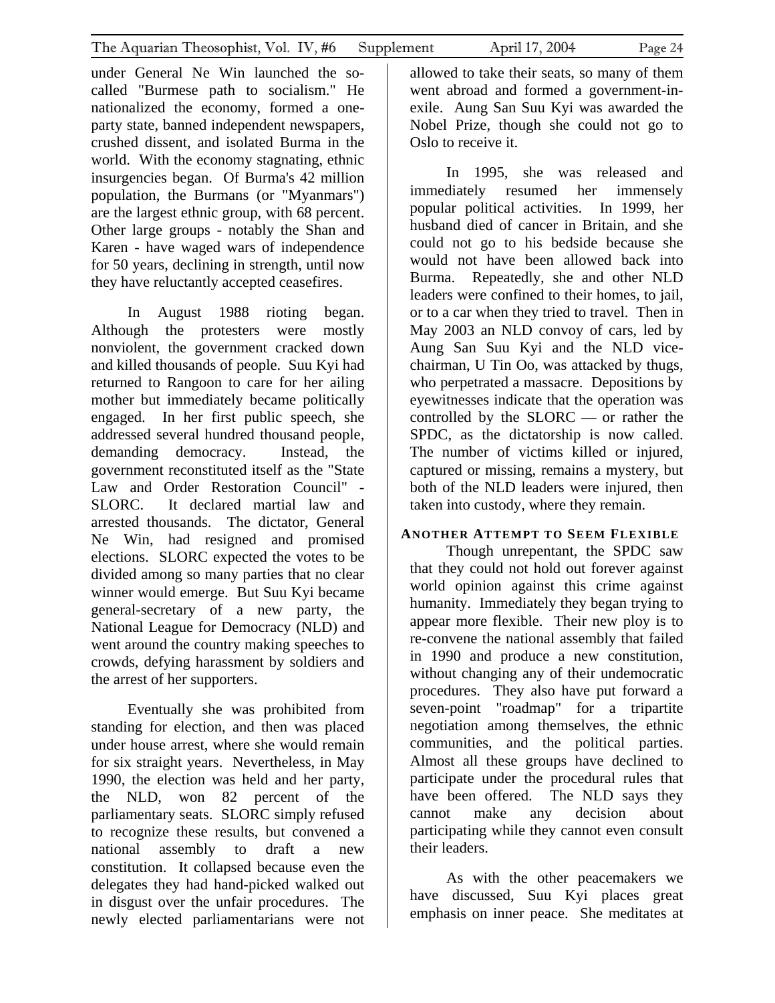under General Ne Win launched the socalled "Burmese path to socialism." He nationalized the economy, formed a oneparty state, banned independent newspapers, crushed dissent, and isolated Burma in the world. With the economy stagnating, ethnic insurgencies began. Of Burma's 42 million population, the Burmans (or "Myanmars") are the largest ethnic group, with 68 percent. Other large groups - notably the Shan and Karen - have waged wars of independence for 50 years, declining in strength, until now they have reluctantly accepted ceasefires.

In August 1988 rioting began. Although the protesters were mostly nonviolent, the government cracked down and killed thousands of people. Suu Kyi had returned to Rangoon to care for her ailing mother but immediately became politically engaged. In her first public speech, she addressed several hundred thousand people, demanding democracy. Instead, the government reconstituted itself as the "State Law and Order Restoration Council" - SLORC. It declared martial law and arrested thousands. The dictator, General Ne Win, had resigned and promised elections. SLORC expected the votes to be divided among so many parties that no clear winner would emerge. But Suu Kyi became general-secretary of a new party, the National League for Democracy (NLD) and went around the country making speeches to crowds, defying harassment by soldiers and the arrest of her supporters.

Eventually she was prohibited from standing for election, and then was placed under house arrest, where she would remain for six straight years. Nevertheless, in May 1990, the election was held and her party, the NLD, won 82 percent of the parliamentary seats. SLORC simply refused to recognize these results, but convened a national assembly to draft a new constitution. It collapsed because even the delegates they had hand-picked walked out in disgust over the unfair procedures. The newly elected parliamentarians were not allowed to take their seats, so many of them went abroad and formed a government-inexile. Aung San Suu Kyi was awarded the Nobel Prize, though she could not go to Oslo to receive it.

In 1995, she was released and immediately resumed her immensely popular political activities. In 1999, her husband died of cancer in Britain, and she could not go to his bedside because she would not have been allowed back into Burma. Repeatedly, she and other NLD leaders were confined to their homes, to jail, or to a car when they tried to travel. Then in May 2003 an NLD convoy of cars, led by Aung San Suu Kyi and the NLD vicechairman, U Tin Oo, was attacked by thugs, who perpetrated a massacre. Depositions by eyewitnesses indicate that the operation was controlled by the SLORC — or rather the SPDC, as the dictatorship is now called. The number of victims killed or injured, captured or missing, remains a mystery, but both of the NLD leaders were injured, then taken into custody, where they remain.

#### **ANOTHER ATTEMPT TO SEEM FLEXIBLE**

Though unrepentant, the SPDC saw that they could not hold out forever against world opinion against this crime against humanity. Immediately they began trying to appear more flexible. Their new ploy is to re-convene the national assembly that failed in 1990 and produce a new constitution, without changing any of their undemocratic procedures. They also have put forward a seven-point "roadmap" for a tripartite negotiation among themselves, the ethnic communities, and the political parties. Almost all these groups have declined to participate under the procedural rules that have been offered. The NLD says they cannot make any decision about participating while they cannot even consult their leaders.

As with the other peacemakers we have discussed, Suu Kyi places great emphasis on inner peace. She meditates at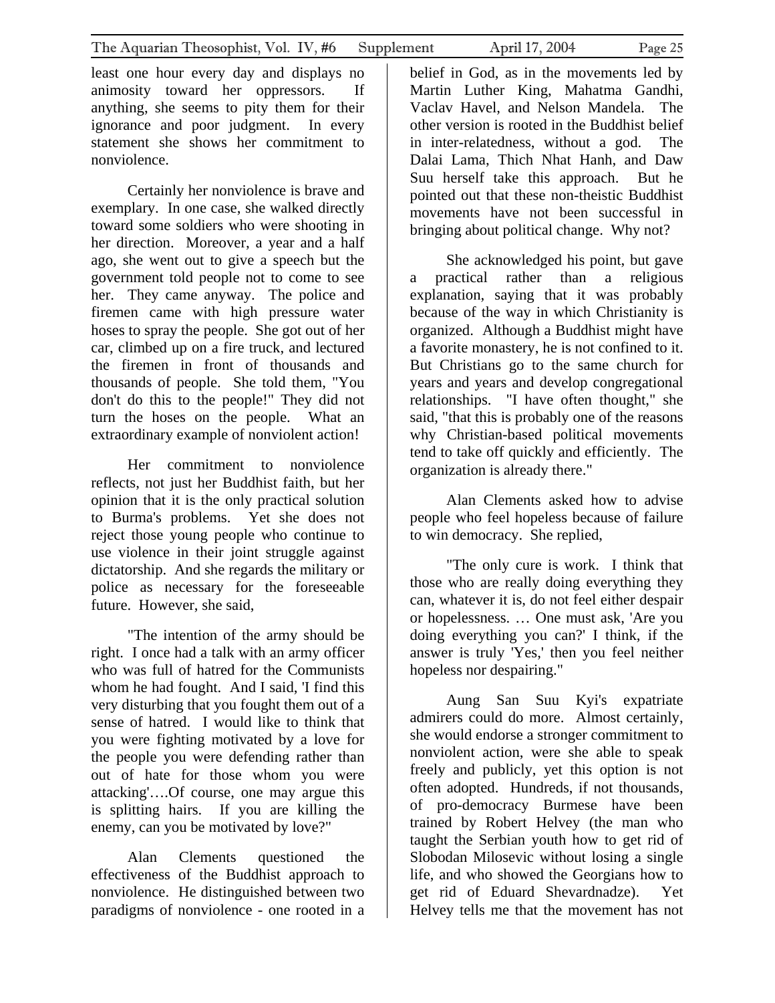least one hour every day and displays no animosity toward her oppressors. If anything, she seems to pity them for their ignorance and poor judgment. In every statement she shows her commitment to nonviolence.

Certainly her nonviolence is brave and exemplary. In one case, she walked directly toward some soldiers who were shooting in her direction. Moreover, a year and a half ago, she went out to give a speech but the government told people not to come to see her. They came anyway. The police and firemen came with high pressure water hoses to spray the people. She got out of her car, climbed up on a fire truck, and lectured the firemen in front of thousands and thousands of people. She told them, "You don't do this to the people!" They did not turn the hoses on the people. What an extraordinary example of nonviolent action!

Her commitment to nonviolence reflects, not just her Buddhist faith, but her opinion that it is the only practical solution to Burma's problems. Yet she does not reject those young people who continue to use violence in their joint struggle against dictatorship. And she regards the military or police as necessary for the foreseeable future. However, she said,

"The intention of the army should be right. I once had a talk with an army officer who was full of hatred for the Communists whom he had fought. And I said, 'I find this very disturbing that you fought them out of a sense of hatred. I would like to think that you were fighting motivated by a love for the people you were defending rather than out of hate for those whom you were attacking'….Of course, one may argue this is splitting hairs. If you are killing the enemy, can you be motivated by love?"

Alan Clements questioned the effectiveness of the Buddhist approach to nonviolence. He distinguished between two paradigms of nonviolence - one rooted in a

belief in God, as in the movements led by Martin Luther King, Mahatma Gandhi, Vaclav Havel, and Nelson Mandela. The other version is rooted in the Buddhist belief in inter-relatedness, without a god. The Dalai Lama, Thich Nhat Hanh, and Daw Suu herself take this approach. But he pointed out that these non-theistic Buddhist movements have not been successful in bringing about political change. Why not?

She acknowledged his point, but gave a practical rather than a religious explanation, saying that it was probably because of the way in which Christianity is organized. Although a Buddhist might have a favorite monastery, he is not confined to it. But Christians go to the same church for years and years and develop congregational relationships. "I have often thought," she said, "that this is probably one of the reasons why Christian-based political movements tend to take off quickly and efficiently. The organization is already there."

Alan Clements asked how to advise people who feel hopeless because of failure to win democracy. She replied,

"The only cure is work. I think that those who are really doing everything they can, whatever it is, do not feel either despair or hopelessness. … One must ask, 'Are you doing everything you can?' I think, if the answer is truly 'Yes,' then you feel neither hopeless nor despairing."

Aung San Suu Kyi's expatriate admirers could do more. Almost certainly, she would endorse a stronger commitment to nonviolent action, were she able to speak freely and publicly, yet this option is not often adopted. Hundreds, if not thousands, of pro-democracy Burmese have been trained by Robert Helvey (the man who taught the Serbian youth how to get rid of Slobodan Milosevic without losing a single life, and who showed the Georgians how to get rid of Eduard Shevardnadze). Yet Helvey tells me that the movement has not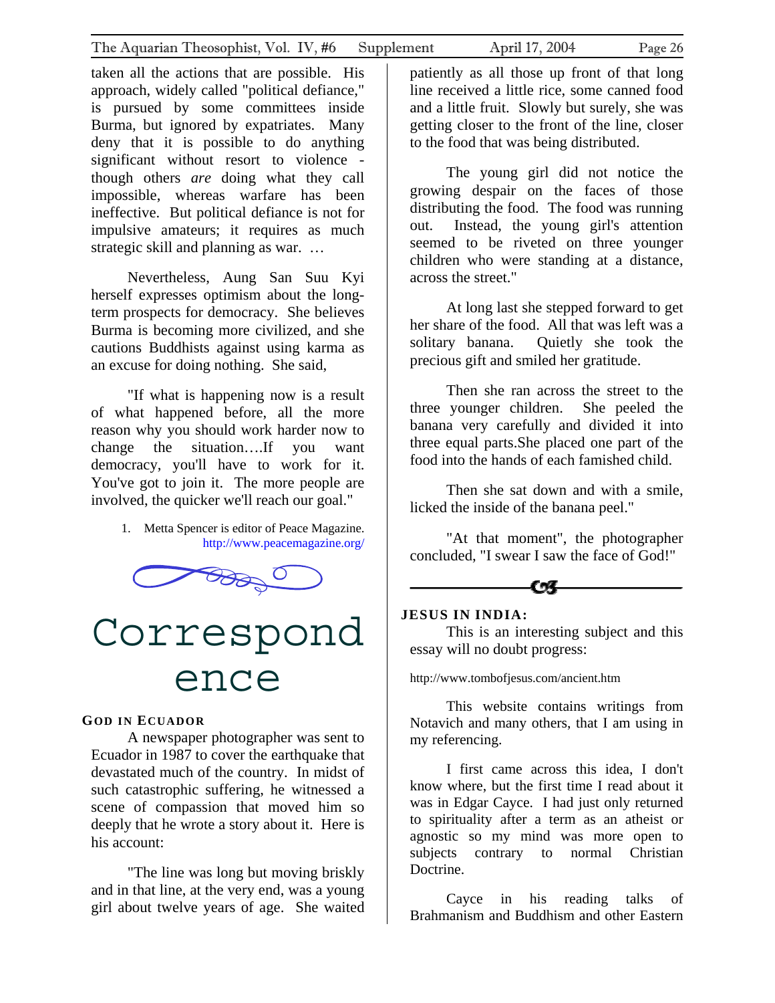<span id="page-25-0"></span>taken all the actions that are possible. His approach, widely called "political defiance," is pursued by some committees inside Burma, but ignored by expatriates. Many deny that it is possible to do anything significant without resort to violence though others *are* doing what they call impossible, whereas warfare has been ineffective. But political defiance is not for impulsive amateurs; it requires as much strategic skill and planning as war. …

Nevertheless, Aung San Suu Kyi herself expresses optimism about the longterm prospects for democracy. She believes Burma is becoming more civilized, and she cautions Buddhists against using karma as an excuse for doing nothing. She said,

"If what is happening now is a result of what happened before, all the more reason why you should work harder now to change the situation….If you want democracy, you'll have to work for it. You've got to join it. The more people are involved, the quicker we'll reach our goal."

> 1. Metta Spencer is editor of Peace Magazine. <http://www.peacemagazine.org/>



## Correspond ence

#### **GOD IN ECUADOR**

A newspaper photographer was sent to Ecuador in 1987 to cover the earthquake that devastated much of the country. In midst of such catastrophic suffering, he witnessed a scene of compassion that moved him so deeply that he wrote a story about it. Here is his account:

"The line was long but moving briskly and in that line, at the very end, was a young girl about twelve years of age. She waited to the food that was being distributed.

The young girl did not notice the growing despair on the faces of those distributing the food. The food was running out. Instead, the young girl's attention seemed to be riveted on three younger children who were standing at a distance, across the street."

At long last she stepped forward to get her share of the food. All that was left was a solitary banana. Quietly she took the precious gift and smiled her gratitude.

Then she ran across the street to the three younger children. She peeled the banana very carefully and divided it into three equal parts.She placed one part of the food into the hands of each famished child.

Then she sat down and with a smile, licked the inside of the banana peel."

"At that moment", the photographer concluded, "I swear I saw the face of God!"

C%F

#### **JESUS IN INDIA:**

This is an interesting subject and this essay will no doubt progress:

http://www.tombofjesus.com/ancient.htm

This website contains writings from Notavich and many others, that I am using in my referencing.

I first came across this idea, I don't know where, but the first time I read about it was in Edgar Cayce. I had just only returned to spirituality after a term as an atheist or agnostic so my mind was more open to subjects contrary to normal Christian Doctrine.

Cayce in his reading talks of Brahmanism and Buddhism and other Eastern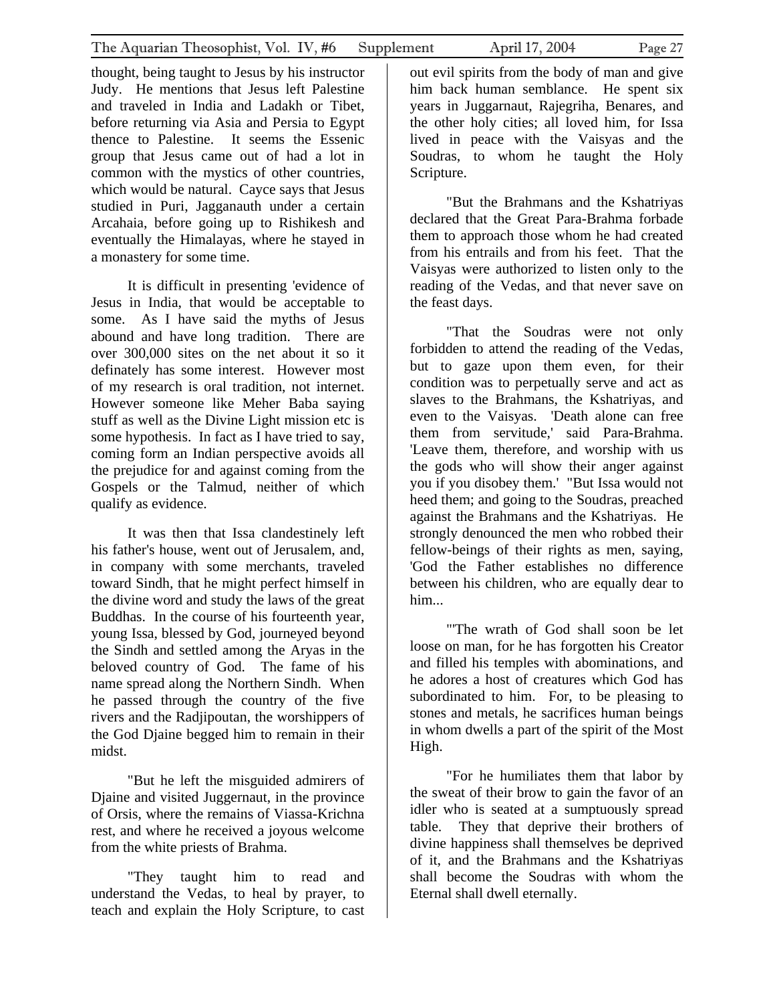thought, being taught to Jesus by his instructor Judy. He mentions that Jesus left Palestine and traveled in India and Ladakh or Tibet, before returning via Asia and Persia to Egypt thence to Palestine. It seems the Essenic group that Jesus came out of had a lot in common with the mystics of other countries, which would be natural. Cayce says that Jesus studied in Puri, Jagganauth under a certain Arcahaia, before going up to Rishikesh and eventually the Himalayas, where he stayed in a monastery for some time.

It is difficult in presenting 'evidence of Jesus in India, that would be acceptable to some. As I have said the myths of Jesus abound and have long tradition. There are over 300,000 sites on the net about it so it definately has some interest. However most of my research is oral tradition, not internet. However someone like Meher Baba saying stuff as well as the Divine Light mission etc is some hypothesis. In fact as I have tried to say, coming form an Indian perspective avoids all the prejudice for and against coming from the Gospels or the Talmud, neither of which qualify as evidence.

It was then that Issa clandestinely left his father's house, went out of Jerusalem, and, in company with some merchants, traveled toward Sindh, that he might perfect himself in the divine word and study the laws of the great Buddhas. In the course of his fourteenth year, young Issa, blessed by God, journeyed beyond the Sindh and settled among the Aryas in the beloved country of God. The fame of his name spread along the Northern Sindh. When he passed through the country of the five rivers and the Radjipoutan, the worshippers of the God Djaine begged him to remain in their midst.

"But he left the misguided admirers of Djaine and visited Juggernaut, in the province of Orsis, where the remains of Viassa-Krichna rest, and where he received a joyous welcome from the white priests of Brahma.

"They taught him to read and understand the Vedas, to heal by prayer, to teach and explain the Holy Scripture, to cast out evil spirits from the body of man and give him back human semblance. He spent six years in Juggarnaut, Rajegriha, Benares, and the other holy cities; all loved him, for Issa lived in peace with the Vaisyas and the Soudras, to whom he taught the Holy Scripture.

"But the Brahmans and the Kshatriyas declared that the Great Para-Brahma forbade them to approach those whom he had created from his entrails and from his feet. That the Vaisyas were authorized to listen only to the reading of the Vedas, and that never save on the feast days.

"That the Soudras were not only forbidden to attend the reading of the Vedas, but to gaze upon them even, for their condition was to perpetually serve and act as slaves to the Brahmans, the Kshatriyas, and even to the Vaisyas. 'Death alone can free them from servitude,' said Para-Brahma. 'Leave them, therefore, and worship with us the gods who will show their anger against you if you disobey them.' "But Issa would not heed them; and going to the Soudras, preached against the Brahmans and the Kshatriyas. He strongly denounced the men who robbed their fellow-beings of their rights as men, saying, 'God the Father establishes no difference between his children, who are equally dear to him...

"'The wrath of God shall soon be let loose on man, for he has forgotten his Creator and filled his temples with abominations, and he adores a host of creatures which God has subordinated to him. For, to be pleasing to stones and metals, he sacrifices human beings in whom dwells a part of the spirit of the Most High.

"For he humiliates them that labor by the sweat of their brow to gain the favor of an idler who is seated at a sumptuously spread table. They that deprive their brothers of divine happiness shall themselves be deprived of it, and the Brahmans and the Kshatriyas shall become the Soudras with whom the Eternal shall dwell eternally.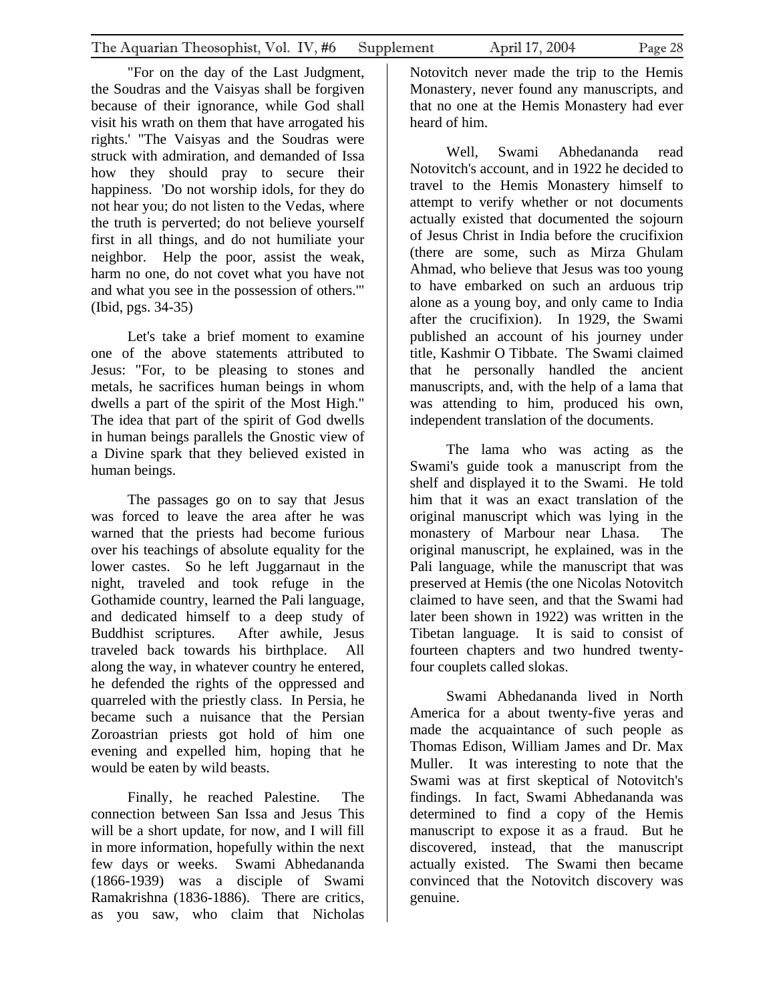the Soudras and the Vaisyas shall be forgiven because of their ignorance, while God shall visit his wrath on them that have arrogated his rights.' "The Vaisyas and the Soudras were struck with admiration, and demanded of Issa how they should pray to secure their happiness. 'Do not worship idols, for they do not hear you; do not listen to the Vedas, where the truth is perverted; do not believe yourself first in all things, and do not humiliate your neighbor. Help the poor, assist the weak, harm no one, do not covet what you have not and what you see in the possession of others.'" (Ibid, pgs. 34-35)

Let's take a brief moment to examine one of the above statements attributed to Jesus: "For, to be pleasing to stones and metals, he sacrifices human beings in whom dwells a part of the spirit of the Most High." The idea that part of the spirit of God dwells in human beings parallels the Gnostic view of a Divine spark that they believed existed in human beings.

The passages go on to say that Jesus was forced to leave the area after he was warned that the priests had become furious over his teachings of absolute equality for the lower castes. So he left Juggarnaut in the night, traveled and took refuge in the Gothamide country, learned the Pali language, and dedicated himself to a deep study of Buddhist scriptures. After awhile, Jesus traveled back towards his birthplace. All along the way, in whatever country he entered, he defended the rights of the oppressed and quarreled with the priestly class. In Persia, he became such a nuisance that the Persian Zoroastrian priests got hold of him one evening and expelled him, hoping that he would be eaten by wild beasts.

Finally, he reached Palestine. The connection between San Issa and Jesus This will be a short update, for now, and I will fill in more information, hopefully within the next few days or weeks. Swami Abhedananda (1866-1939) was a disciple of Swami Ramakrishna (1836-1886). There are critics, as you saw, who claim that Nicholas

Notovitch never made the trip to the Hemis Monastery, never found any manuscripts, and that no one at the Hemis Monastery had ever heard of him.

Well, Swami Abhedananda read Notovitch's account, and in 1922 he decided to travel to the Hemis Monastery himself to attempt to verify whether or not documents actually existed that documented the sojourn of Jesus Christ in India before the crucifixion (there are some, such as Mirza Ghulam Ahmad, who believe that Jesus was too young to have embarked on such an arduous trip alone as a young boy, and only came to India after the crucifixion). In 1929, the Swami published an account of his journey under title, Kashmir O Tibbate. The Swami claimed that he personally handled the ancient manuscripts, and, with the help of a lama that was attending to him, produced his own, independent translation of the documents.

The lama who was acting as the Swami's guide took a manuscript from the shelf and displayed it to the Swami. He told him that it was an exact translation of the original manuscript which was lying in the monastery of Marbour near Lhasa. The original manuscript, he explained, was in the Pali language, while the manuscript that was preserved at Hemis (the one Nicolas Notovitch claimed to have seen, and that the Swami had later been shown in 1922) was written in the Tibetan language. It is said to consist of fourteen chapters and two hundred twentyfour couplets called slokas.

Swami Abhedananda lived in North America for a about twenty-five yeras and made the acquaintance of such people as Thomas Edison, William James and Dr. Max Muller. It was interesting to note that the Swami was at first skeptical of Notovitch's findings. In fact, Swami Abhedananda was determined to find a copy of the Hemis manuscript to expose it as a fraud. But he discovered, instead, that the manuscript actually existed. The Swami then became convinced that the Notovitch discovery was genuine.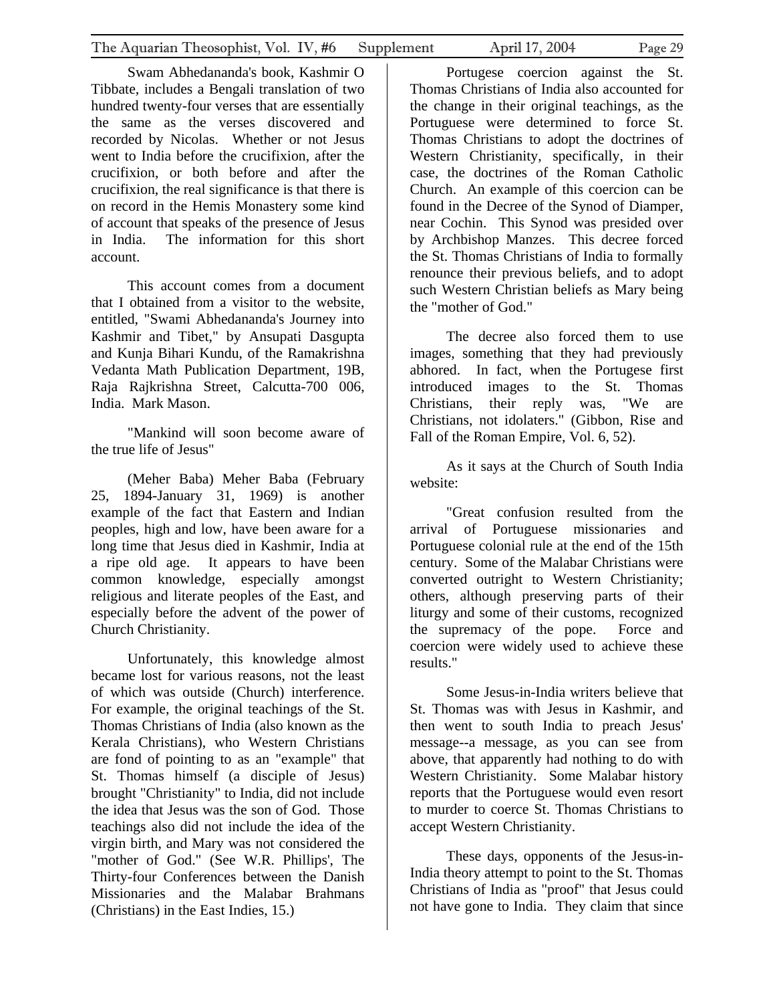Swam Abhedananda's book, Kashmir O Tibbate, includes a Bengali translation of two hundred twenty-four verses that are essentially the same as the verses discovered and recorded by Nicolas. Whether or not Jesus went to India before the crucifixion, after the crucifixion, or both before and after the crucifixion, the real significance is that there is on record in the Hemis Monastery some kind of account that speaks of the presence of Jesus in India. The information for this short account.

This account comes from a document that I obtained from a visitor to the website, entitled, "Swami Abhedananda's Journey into Kashmir and Tibet," by Ansupati Dasgupta and Kunja Bihari Kundu, of the Ramakrishna Vedanta Math Publication Department, 19B, Raja Rajkrishna Street, Calcutta-700 006, India. Mark Mason.

"Mankind will soon become aware of the true life of Jesus"

(Meher Baba) Meher Baba (February 25, 1894-January 31, 1969) is another example of the fact that Eastern and Indian peoples, high and low, have been aware for a long time that Jesus died in Kashmir, India at a ripe old age. It appears to have been common knowledge, especially amongst religious and literate peoples of the East, and especially before the advent of the power of Church Christianity.

Unfortunately, this knowledge almost became lost for various reasons, not the least of which was outside (Church) interference. For example, the original teachings of the St. Thomas Christians of India (also known as the Kerala Christians), who Western Christians are fond of pointing to as an "example" that St. Thomas himself (a disciple of Jesus) brought "Christianity" to India, did not include the idea that Jesus was the son of God. Those teachings also did not include the idea of the virgin birth, and Mary was not considered the "mother of God." (See W.R. Phillips', The Thirty-four Conferences between the Danish Missionaries and the Malabar Brahmans (Christians) in the East Indies, 15.)

Portugese coercion against the St. Thomas Christians of India also accounted for the change in their original teachings, as the Portuguese were determined to force St. Thomas Christians to adopt the doctrines of Western Christianity, specifically, in their case, the doctrines of the Roman Catholic Church. An example of this coercion can be found in the Decree of the Synod of Diamper, near Cochin. This Synod was presided over by Archbishop Manzes. This decree forced the St. Thomas Christians of India to formally renounce their previous beliefs, and to adopt such Western Christian beliefs as Mary being the "mother of God."

The decree also forced them to use images, something that they had previously abhored. In fact, when the Portugese first introduced images to the St. Thomas Christians, their reply was, "We are Christians, not idolaters." (Gibbon, Rise and Fall of the Roman Empire, Vol. 6, 52).

As it says at the Church of South India website:

"Great confusion resulted from the arrival of Portuguese missionaries and Portuguese colonial rule at the end of the 15th century. Some of the Malabar Christians were converted outright to Western Christianity; others, although preserving parts of their liturgy and some of their customs, recognized the supremacy of the pope. Force and coercion were widely used to achieve these results."

Some Jesus-in-India writers believe that St. Thomas was with Jesus in Kashmir, and then went to south India to preach Jesus' message--a message, as you can see from above, that apparently had nothing to do with Western Christianity. Some Malabar history reports that the Portuguese would even resort to murder to coerce St. Thomas Christians to accept Western Christianity.

These days, opponents of the Jesus-in-India theory attempt to point to the St. Thomas Christians of India as "proof" that Jesus could not have gone to India. They claim that since